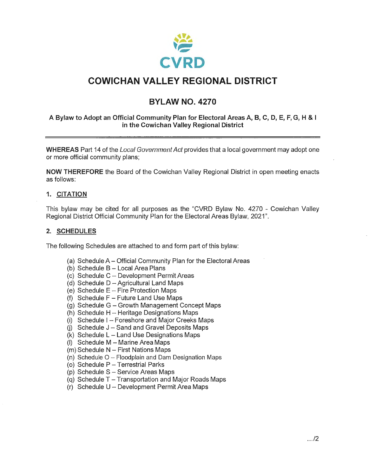

### **COWICHAN VALLEY REGIONAL DISTRICT**

### **BYLAW NO. 4270**

#### **A Bylaw to Adopt an Official Community Plan for Electoral Areas A, B, C, D, E, F, G, H** & <sup>I</sup> **in the Cowichan Valley Regional District**

**WHEREAS** Part 14 of the Local Government Act provides that a local government may adopt one or more official community plans;

**NOW THEREFORE** the Board of the Cowichan Valley Regional District in open meeting enacts as follows:

#### **1. CITATION**

This bylaw may be cited for all purposes as the "CVRD Bylaw No. 4270 - Cowichan Valley Regional District Official Community Plan for the Electoral Areas Bylaw, 2021".

#### **2. SCHEDULES**

The following Schedules are attached to and form part of this bylaw:

- (a) Schedule A- Official Community Plan for the Electoral Areas
- $(b)$  Schedule B Local Area Plans
- (c) Schedule C- Development Permit Areas
- (d) Schedule  $D -$ Agricultural Land Maps
- (e) Schedule  $E -$  Fire Protection Maps
- (f) Schedule  $F -$  Future Land Use Maps
- $(g)$  Schedule G Growth Management Concept Maps
- (h) Schedule H Heritage Designations Maps
- (i) Schedule  $I -$  Foreshore and Major Creeks Maps
- (i) Schedule  $J -$  Sand and Gravel Deposits Maps
- $(k)$  Schedule L Land Use Designations Maps
- (I) Schedule M Marine Area Maps
- (m) Schedule N First Nations Maps
- (n) Schedule  $O Floodplain$  and Dam Designation Maps
- (o) Schedule  $P T$ errestrial Parks
- (p) Schedule  $S -$  Service Areas Maps
- (g) Schedule  $T T$ ransportation and Major Roads Maps
- $(r)$  Schedule U Development Permit Area Maps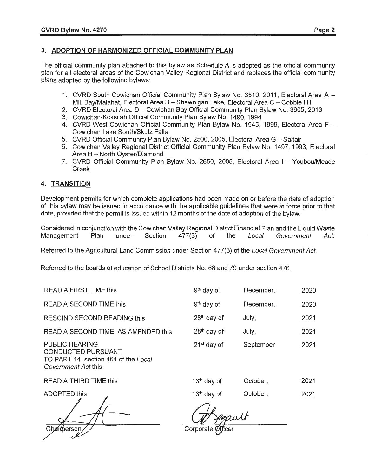#### **3. ADOPTION OF HARMONIZED OFFICIAL COMMUNITY PLAN**

The official community plan attached to this bylaw as Schedule A is adopted as the official community plan for all electoral areas of the Cowichan Valley Regional District and replaces the official community plans adopted by the following bylaws:

- 1. CVRD South Cowichan Official Community Plan Bylaw No. 3510, 2011, Electoral Area A -Mill Bay/Malahat, Electoral Area B - Shawnigan Lake, Electoral Area C - Cobble Hill
- 2. CVRD Electoral Area D Cowichan Bay Official Community Plan Bylaw No. 3605, 2013
- 3. Cowichan-Koksilah Official Community Plan Bylaw No. 1490, 1994
- 4. CVRD West Cowichan Official Community Plan Bylaw No. 1945, 1999, Electoral Area F  $-$ Cowichan Lake South/Skutz Falls
- 5. CVRD Official Community Plan Bylaw No. 2500, 2005, Electoral Area G Saltair
- 6. Cowichan Valley Regional District Official Community Plan Bylaw No. 1497, 1993, Electoral Area  $H -$  North Oyster/Diamond
- 7. CVRD Official Community Plan Bylaw No. 2650, 2005, Electoral Area I Youbou/Meade Creek

#### **4. TRANSITION**

Development permits for which complete applications had been made on or before the date of adoption of this bylaw may be issued in accordance with the applicable guidelines that were in force prior to that date, provided that the permit is issued within 12 months of the date of adoption of the bylaw.

Considered in conjunction with the Cowichan Valley Regional District Financial Plan and the Liquid Waste Management Plan under Section 477(3) of the Local Government Act.

Referred to the Agricultural Land Commission under Section 477(3) of the Local Government Act.

Referred to the boards of education of School Districts No. 68 and 79 under section 476.

| <b>READ A FIRST TIME this</b>                                                                              | 9 <sup>th</sup> day of | December, | 2020 |
|------------------------------------------------------------------------------------------------------------|------------------------|-----------|------|
| READ A SECOND TIME this                                                                                    | $9th$ day of           | December, | 2020 |
| RESCIND SECOND READING this                                                                                | $28th$ day of          | July,     | 2021 |
| READ A SECOND TIME, AS AMENDED this                                                                        | $28th$ day of          | July,     | 2021 |
| <b>PUBLIC HEARING</b><br>CONDUCTED PURSUANT<br>TO PART 14, section 464 of the Local<br>Government Act this | $21st$ day of          | September | 2021 |
| READ A THIRD TIME this                                                                                     | $13th$ day of          | October,  | 2021 |

ADOPTED this  $\qquad \qquad 13^{\text{th}}$  day of  $\qquad \qquad$  October,  $\qquad \qquad 2021$ 

Corporate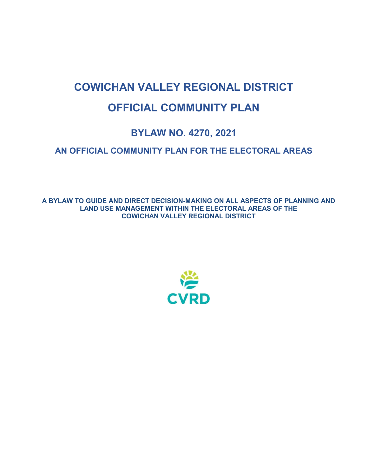# **COWICHAN VALLEY REGIONAL DISTRICT OFFICIAL COMMUNITY PLAN**

## **BYLAW NO. 4270, 2021**

### **AN OFFICIAL COMMUNITY PLAN FOR THE ELECTORAL AREAS**

**A BYLAW TO GUIDE AND DIRECT DECISION-MAKING ON ALL ASPECTS OF PLANNING AND LAND USE MANAGEMENT WITHIN THE ELECTORAL AREAS OF THE COWICHAN VALLEY REGIONAL DISTRICT**

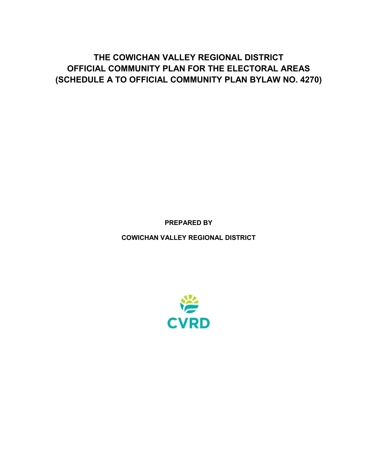**THE COWICHAN VALLEY REGIONAL DISTRICT OFFICIAL COMMUNITY PLAN FOR THE ELECTORAL AREAS (SCHEDULE A TO OFFICIAL COMMUNITY PLAN BYLAW NO. 4270)**

**PREPARED BY**

**COWICHAN VALLEY REGIONAL DISTRICT**

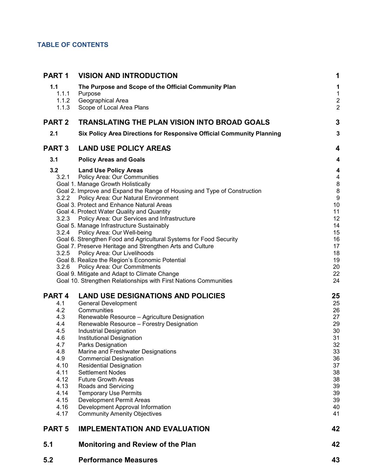### **TABLE OF CONTENTS**

| PART <sub>1</sub> | <b>VISION AND INTRODUCTION</b>                                                                                   | 1                                         |
|-------------------|------------------------------------------------------------------------------------------------------------------|-------------------------------------------|
| 1.1               | The Purpose and Scope of the Official Community Plan                                                             | 1                                         |
| 1.1.1             | Purpose                                                                                                          | $\mathbf 1$                               |
| 1.1.2<br>1.1.3    | Geographical Area<br>Scope of Local Area Plans                                                                   | $\overline{\mathbf{c}}$<br>$\overline{c}$ |
| <b>PART 2</b>     | <b>TRANSLATING THE PLAN VISION INTO BROAD GOALS</b>                                                              | 3                                         |
| 2.1               | Six Policy Area Directions for Responsive Official Community Planning                                            | 3                                         |
| <b>PART 3</b>     | <b>LAND USE POLICY AREAS</b>                                                                                     | 4                                         |
| 3.1               | <b>Policy Areas and Goals</b>                                                                                    | 4                                         |
| 3.2               | <b>Land Use Policy Areas</b>                                                                                     | 4                                         |
| 3.2.1             | <b>Policy Area: Our Communities</b>                                                                              | 4                                         |
|                   | Goal 1. Manage Growth Holistically<br>Goal 2. Improve and Expand the Range of Housing and Type of Construction   | 8<br>8                                    |
| 3.2.2             | Policy Area: Our Natural Environment                                                                             | 9                                         |
|                   | Goal 3. Protect and Enhance Natural Areas                                                                        | 10                                        |
|                   | Goal 4. Protect Water Quality and Quantity                                                                       | 11                                        |
| 3.2.3             | Policy Area: Our Services and Infrastructure                                                                     | 12                                        |
|                   | Goal 5. Manage Infrastructure Sustainably                                                                        | 14                                        |
| 3.2.4             | Policy Area: Our Well-being<br>Goal 6. Strengthen Food and Agricultural Systems for Food Security                | 15<br>16                                  |
|                   | Goal 7. Preserve Heritage and Strengthen Arts and Culture                                                        | 17                                        |
| 3.2.5             | Policy Area: Our Livelihoods                                                                                     | 18                                        |
|                   | Goal 8. Realize the Region's Economic Potential                                                                  | 19                                        |
| 3.2.6             | <b>Policy Area: Our Commitments</b>                                                                              | 20                                        |
|                   | Goal 9. Mitigate and Adapt to Climate Change<br>Goal 10. Strengthen Relationships with First Nations Communities | 22<br>24                                  |
|                   |                                                                                                                  |                                           |
| PART <sub>4</sub> | <b>LAND USE DESIGNATIONS AND POLICIES</b>                                                                        | 25                                        |
| 4.1               | <b>General Development</b>                                                                                       | 25                                        |
| 4.2               | Communities                                                                                                      | 26                                        |
| 4.3<br>4.4        | Renewable Resource - Agriculture Designation<br>Renewable Resource - Forestry Designation                        | 27<br>29                                  |
| 4.5               | <b>Industrial Designation</b>                                                                                    | 30                                        |
| 4.6               | Institutional Designation                                                                                        | 31                                        |
| 4.7               | Parks Designation                                                                                                | 32                                        |
| 4.8               | Marine and Freshwater Designations                                                                               | 33                                        |
| 4.9               | <b>Commercial Designation</b>                                                                                    | 36                                        |
| 4.10<br>4.11      | <b>Residential Designation</b><br><b>Settlement Nodes</b>                                                        | 37<br>38                                  |
| 4.12              | <b>Future Growth Areas</b>                                                                                       | 38                                        |
| 4.13              | Roads and Servicing                                                                                              | 39                                        |
| 4.14              | <b>Temporary Use Permits</b>                                                                                     | 39                                        |
| 4.15              | <b>Development Permit Areas</b>                                                                                  | 39                                        |
| 4.16              | Development Approval Information                                                                                 | 40                                        |
| 4.17              | <b>Community Amenity Objectives</b>                                                                              | 41                                        |
| <b>PART 5</b>     | <b>IMPLEMENTATION AND EVALUATION</b>                                                                             | 42                                        |
| 5.1               | <b>Monitoring and Review of the Plan</b>                                                                         | 42                                        |
| 5.2               | <b>Performance Measures</b>                                                                                      | 43                                        |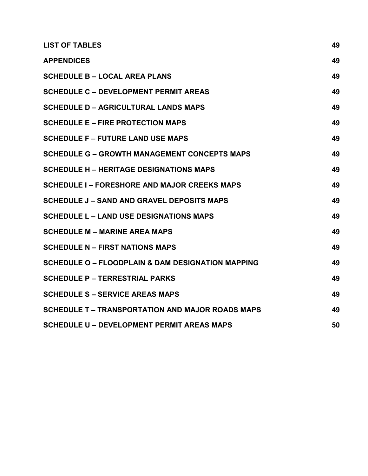| <b>LIST OF TABLES</b>                                        | 49 |
|--------------------------------------------------------------|----|
| <b>APPENDICES</b>                                            | 49 |
| <b>SCHEDULE B - LOCAL AREA PLANS</b>                         | 49 |
| <b>SCHEDULE C - DEVELOPMENT PERMIT AREAS</b>                 | 49 |
| <b>SCHEDULE D - AGRICULTURAL LANDS MAPS</b>                  | 49 |
| <b>SCHEDULE E - FIRE PROTECTION MAPS</b>                     | 49 |
| <b>SCHEDULE F - FUTURE LAND USE MAPS</b>                     | 49 |
| <b>SCHEDULE G - GROWTH MANAGEMENT CONCEPTS MAPS</b>          | 49 |
| <b>SCHEDULE H - HERITAGE DESIGNATIONS MAPS</b>               | 49 |
| <b>SCHEDULE I - FORESHORE AND MAJOR CREEKS MAPS</b>          | 49 |
| <b>SCHEDULE J - SAND AND GRAVEL DEPOSITS MAPS</b>            | 49 |
| <b>SCHEDULE L - LAND USE DESIGNATIONS MAPS</b>               | 49 |
| <b>SCHEDULE M - MARINE AREA MAPS</b>                         | 49 |
| <b>SCHEDULE N - FIRST NATIONS MAPS</b>                       | 49 |
| <b>SCHEDULE O - FLOODPLAIN &amp; DAM DESIGNATION MAPPING</b> | 49 |
| <b>SCHEDULE P - TERRESTRIAL PARKS</b>                        | 49 |
| <b>SCHEDULE S - SERVICE AREAS MAPS</b>                       | 49 |
| <b>SCHEDULE T – TRANSPORTATION AND MAJOR ROADS MAPS</b>      | 49 |
| <b>SCHEDULE U - DEVELOPMENT PERMIT AREAS MAPS</b>            | 50 |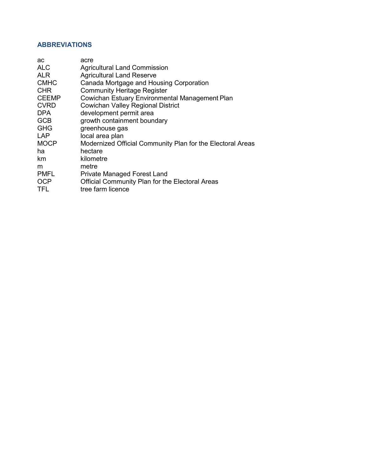### **ABBREVIATIONS**

| ac           | acre                                                       |
|--------------|------------------------------------------------------------|
| <b>ALC</b>   | <b>Agricultural Land Commission</b>                        |
| <b>ALR</b>   | <b>Agricultural Land Reserve</b>                           |
| <b>CMHC</b>  | Canada Mortgage and Housing Corporation                    |
| <b>CHR</b>   | <b>Community Heritage Register</b>                         |
| <b>CEEMP</b> | Cowichan Estuary Environmental Management Plan             |
| <b>CVRD</b>  | <b>Cowichan Valley Regional District</b>                   |
| <b>DPA</b>   | development permit area                                    |
| <b>GCB</b>   | growth containment boundary                                |
| <b>GHG</b>   | greenhouse gas                                             |
| <b>LAP</b>   | local area plan                                            |
| <b>MOCP</b>  | Modernized Official Community Plan for the Electoral Areas |
| ha           | hectare                                                    |
| km           | kilometre                                                  |
| m            | metre                                                      |
| <b>PMFL</b>  | <b>Private Managed Forest Land</b>                         |
| <b>OCP</b>   | Official Community Plan for the Electoral Areas            |
| <b>TFL</b>   | tree farm licence                                          |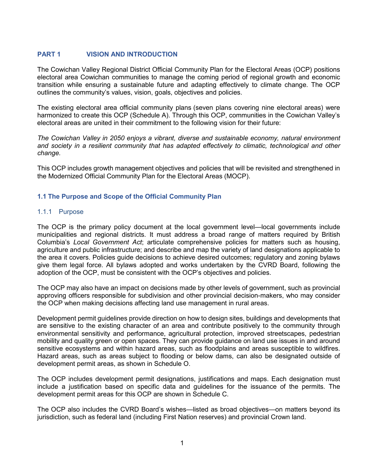#### <span id="page-7-0"></span>**PART 1 VISION AND INTRODUCTION**

The Cowichan Valley Regional District Official Community Plan for the Electoral Areas (OCP) positions electoral area Cowichan communities to manage the coming period of regional growth and economic transition while ensuring a sustainable future and adapting effectively to climate change. The OCP outlines the community's values, vision, goals, objectives and policies.

The existing electoral area official community plans (seven plans covering nine electoral areas) were harmonized to create this OCP (Schedule A). Through this OCP, communities in the Cowichan Valley's electoral areas are united in their commitment to the following vision for their future:

*The Cowichan Valley in 2050 enjoys a vibrant, diverse and sustainable economy, natural environment and society in a resilient community that has adapted effectively to climatic, technological and other change.*

This OCP includes growth management objectives and policies that will be revisited and strengthened in the Modernized Official Community Plan for the Electoral Areas (MOCP).

#### <span id="page-7-1"></span>**1.1 The Purpose and Scope of the Official Community Plan**

#### <span id="page-7-2"></span>1.1.1 Purpose

The OCP is the primary policy document at the local government level—local governments include municipalities and regional districts. It must address a broad range of matters required by British Columbia's *[Local Government Act](http://www.bclaws.ca/civix/document/id/complete/statreg/r15001_01)*; articulate comprehensive policies for matters such as housing, agriculture and public infrastructure; and describe and map the variety of land designations applicable to the area it covers. Policies guide decisions to achieve desired outcomes; regulatory and zoning bylaws give them legal force. All bylaws adopted and works undertaken by the CVRD Board, following the adoption of the OCP, must be consistent with the OCP's objectives and policies.

The OCP may also have an impact on decisions made by other levels of government, such as provincial approving officers responsible for subdivision and other provincial decision-makers, who may consider the OCP when making decisions affecting land use management in rural areas.

Development permit guidelines provide direction on how to design sites, buildings and developments that are sensitive to the existing character of an area and contribute positively to the community through environmental sensitivity and performance, agricultural protection, improved streetscapes, pedestrian mobility and quality green or open spaces. They can provide guidance on land use issues in and around sensitive ecosystems and within hazard areas, such as floodplains and areas susceptible to wildfires. Hazard areas, such as areas subject to flooding or below dams, can also be designated outside of development permit areas, as shown in Schedule O.

The OCP includes development permit designations, justifications and maps. Each designation must include a justification based on specific data and guidelines for the issuance of the permits. The development permit areas for this OCP are shown in Schedule C.

The OCP also includes the CVRD Board's wishes—listed as broad objectives—on matters beyond its jurisdiction, such as federal land (including First Nation reserves) and provincial Crown land.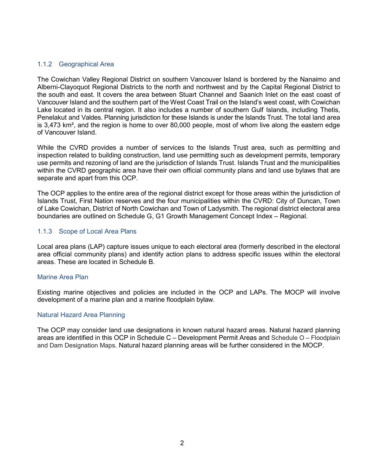#### <span id="page-8-0"></span>1.1.2 Geographical Area

The Cowichan Valley Regional District on southern Vancouver Island is bordered by the [Nanaimo](https://en.wikipedia.org/wiki/Regional_District_of_Nanaimo%2C_British_Columbia) and [Alberni-Clayoquot R](https://en.wikipedia.org/wiki/Alberni-Clayoquot_Regional_District%2C_British_Columbia)egional Districts to the north and northwest and by the [Capital Regional](https://en.wikipedia.org/wiki/Capital_Regional_District%2C_British_Columbia) [District](https://en.wikipedia.org/wiki/Capital_Regional_District%2C_British_Columbia) to the south and east. It covers the area between Stuart [Channel](https://en.wikipedia.org/wiki/Stuart_Channel) and [Saanich](https://en.wikipedia.org/wiki/Saanich_Inlet) Inlet on the east coast of Vancouver Island and the southern part of the West [Coast](https://en.wikipedia.org/wiki/West_Coast_Trail) Trail on the Island's west coast, with [Cowichan](https://en.wikipedia.org/wiki/Cowichan_Lake) [Lake](https://en.wikipedia.org/wiki/Cowichan_Lake) located in its central region. It also includes a number of southern [Gulf](https://en.wikipedia.org/wiki/Gulf_Islands) [Islands,](https://en.wikipedia.org/wiki/Gulf_Islands) including [Thetis,](https://en.wikipedia.org/wiki/Thetis_Island) [Penelakut](https://en.wikipedia.org/wiki/Kuper_Island) and [Valdes.](https://en.wikipedia.org/wiki/Valdes_Island) Planning jurisdiction for these Islands is under the Islands Trust. The total land area is 3,473 km², and the region is home to over 80,000 people, most of whom live along the eastern edge of Vancouver Island.

While the CVRD provides a number of services to the Islands Trust area, such as permitting and inspection related to building construction, land use permitting such as development permits, temporary use permits and rezoning of land are the jurisdiction of Islands Trust. Islands Trust and the municipalities within the CVRD geographic area have their own official community plans and land use bylaws that are separate and apart from this OCP.

The OCP applies to the entire area of the regional district except for those areas within the jurisdiction of Islands Trust, First Nation reserves and the four municipalities within the CVRD: City of Duncan, Town of Lake Cowichan, District of North Cowichan and Town of Ladysmith. The regional district electoral area boundaries are outlined on Schedule G, G1 Growth Management Concept Index – Regional.

#### <span id="page-8-1"></span>1.1.3 Scope of Local Area Plans

Local area plans (LAP) capture issues unique to each electoral area (formerly described in the electoral area official community plans) and identify action plans to address specific issues within the electoral areas. These are located in Schedule B.

#### Marine Area Plan

Existing marine objectives and policies are included in the OCP and LAPs. The MOCP will involve development of a marine plan and a marine floodplain bylaw.

#### Natural Hazard Area Planning

The OCP may consider land use designations in known natural hazard areas. Natural hazard planning areas are identified in this OCP in Schedule C – Development Permit Areas and Schedule O – Floodplain and Dam Designation Maps. Natural hazard planning areas will be further considered in the MOCP.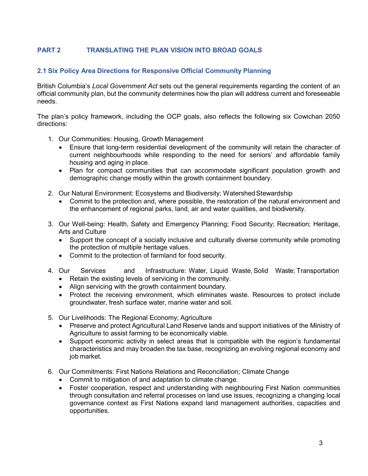### <span id="page-9-0"></span>**PART 2 TRANSLATING THE PLAN VISION INTO BROAD GOALS**

#### <span id="page-9-1"></span>**2.1 Six Policy Area Directions for Responsive Official Community Planning**

British Columbia's *Local Government Act* sets out the general requirements regarding the content of an official community plan, but the community determines how the plan will address current and foreseeable needs.

The plan's policy framework, including the OCP goals, also reflects the following six Cowichan 2050 directions:

- 1. Our Communities: Housing, Growth Management
	- Ensure that long-term residential development of the community will retain the character of current neighbourhoods while responding to the need for seniors' and affordable family housing and aging in place*.*
	- Plan for compact communities that can accommodate significant population growth and demographic change mostly within the growth containment boundary.
- 2. Our Natural Environment: Ecosystems and Biodiversity; Watershed Stewardship
	- Commit to the protection and, where possible, the restoration of the natural environment and the enhancement of regional parks, land, air and water qualities, and biodiversity.
- 3. Our Well-being: Health, Safety and Emergency Planning; Food Security; Recreation; Heritage, Arts and Culture
	- Support the concept of a socially inclusive and culturally diverse community while promoting the protection of multiple heritage values.
	- Commit to the protection of farmland for food security.
- 4. Our Services and Infrastructure: Water, Liquid Waste,Solid Waste; Transportation • Retain the existing levels of servicing in the community.
	- Align servicing with the growth containment boundary.
	- Protect the receiving environment, which eliminates waste. Resources to protect include groundwater, fresh surface water, marine water and soil.
- 5. Our Livelihoods: The Regional Economy; Agriculture
	- Preserve and protect Agricultural Land Reserve lands and support initiatives of the Ministry of Agriculture to assist farming to be economically viable.
	- Support economic activity in select areas that is compatible with the region's fundamental characteristics and may broaden the tax base, recognizing an evolving regional economy and job market*.*
- 6. Our Commitments: First Nations Relations and Reconciliation; Climate Change
	- Commit to mitigation of and adaptation to climate change.
	- Foster cooperation, respect and understanding with neighbouring First Nation communities through consultation and referral processes on land use issues, recognizing a changing local governance context as First Nations expand land management authorities, capacities and opportunities.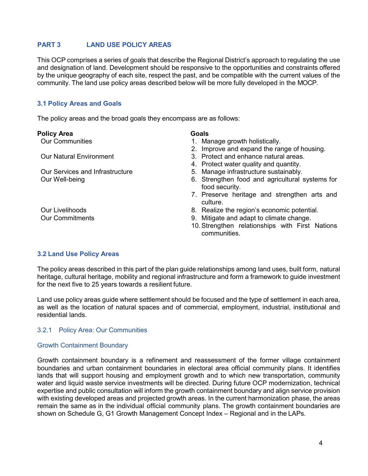#### <span id="page-10-0"></span>**PART 3 LAND USE POLICY AREAS**

This OCP comprises a series of goals that describe the Regional District's approach to regulating the use and designation of land. Development should be responsive to the opportunities and constraints offered by the unique geography of each site, respect the past, and be compatible with the current values of the community. The land use policy areas described below will be more fully developed in the MOCP.

#### <span id="page-10-1"></span>**3.1 Policy Areas and Goals**

The policy areas and the broad goals they encompass are as follows:

#### **Policy Area Goals**

- Our Communities 1. Manage growth holistically.
	- 2. Improve and expand the range of housing.
- Our Natural Environment 3. Protect and enhance natural areas.
	- 4. Protect water quality and quantity.
- Our Services and Infrastructure 5. Manage infrastructure sustainably.
- Our Well-being 6. Strengthen food and agricultural systems for food security.
	- 7. Preserve heritage and strengthen arts and culture.
- Our Livelihoods 8. Realize the region's economic potential.
- Our Commitments 9. Mitigate and adapt to climate change.
	- 10.Strengthen relationships with First Nations communities.

#### <span id="page-10-2"></span>**3.2 Land Use Policy Areas**

The policy areas described in this part of the plan guide relationships among land uses, built form, natural heritage, cultural heritage, mobility and regional infrastructure and form a framework to guide investment for the next five to 25 years towards a resilient future.

Land use policy areas guide where settlement should be focused and the type of settlement in each area, as well as the location of natural spaces and of commercial, employment, industrial, institutional and residential lands.

#### <span id="page-10-3"></span>3.2.1 Policy Area: Our Communities

#### Growth Containment Boundary

Growth containment boundary is a refinement and reassessment of the former village containment boundaries and urban containment boundaries in electoral area official community plans. It identifies lands that will support housing and employment growth and to which new transportation, community water and liquid waste service investments will be directed. During future OCP modernization, technical expertise and public consultation will inform the growth containment boundary and align service provision with existing developed areas and projected growth areas. In the current harmonization phase, the areas remain the same as in the individual official community plans. The growth containment boundaries are shown on Schedule G, G1 Growth Management Concept Index – Regional and in the LAPs.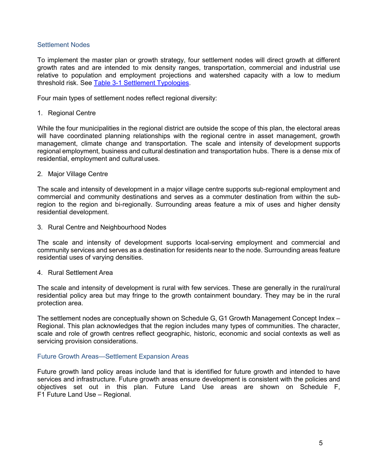#### Settlement Nodes

To implement the master plan or growth strategy, four settlement nodes will direct growth at different growth rates and are intended to mix density ranges, transportation, commercial and industrial use relative to population and employment projections and watershed capacity with a low to medium threshold risk. See [Table 3-1 Settlement Typologies.](#page-13-0)

Four main types of settlement nodes reflect regional diversity:

#### 1. Regional Centre

While the four municipalities in the regional district are outside the scope of this plan, the electoral areas will have coordinated planning relationships with the regional centre in asset management, growth management, climate change and transportation. The scale and intensity of development supports regional employment, business and cultural destination and transportation hubs. There is a dense mix of residential, employment and cultural uses.

#### 2. Major Village Centre

The scale and intensity of development in a major village centre supports sub-regional employment and commercial and community destinations and serves as a commuter destination from within the subregion to the region and bi-regionally. Surrounding areas feature a mix of uses and higher density residential development.

3. Rural Centre and Neighbourhood Nodes

The scale and intensity of development supports local-serving employment and commercial and community services and serves as a destination for residents near to the node. Surrounding areas feature residential uses of varying densities.

#### 4. Rural Settlement Area

The scale and intensity of development is rural with few services. These are generally in the rural/rural residential policy area but may fringe to the growth containment boundary. They may be in the rural protection area.

The settlement nodes are conceptually shown on Schedule G, G1 Growth Management Concept Index – Regional. This plan acknowledges that the region includes many types of communities. The character, scale and role of growth centres reflect geographic, historic, economic and social contexts as well as servicing provision considerations.

#### Future Growth Areas—Settlement Expansion Areas

Future growth land policy areas include land that is identified for future growth and intended to have services and infrastructure. Future growth areas ensure development is consistent with the policies and objectives set out in this plan. Future Land Use areas are shown on Schedule F, F1 Future Land Use – Regional.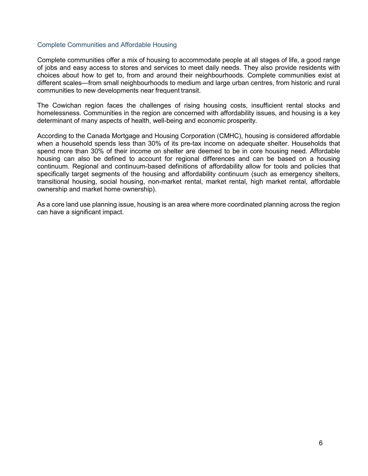#### Complete Communities and Affordable Housing

Complete communities offer a mix of housing to accommodate people at all stages of life, a good range of jobs and easy access to stores and services to meet daily needs. They also provide residents with choices about how to get to, from and around their neighbourhoods. Complete communities exist at different scales—from small neighbourhoods to medium and large urban centres, from historic and rural communities to new developments near frequent transit.

The Cowichan region faces the challenges of rising housing costs, insufficient rental stocks and homelessness. Communities in the region are concerned with affordability issues, and housing is a key determinant of many aspects of health, well-being and economic prosperity.

According to the Canada Mortgage and Housing Corporation (CMHC), housing is considered affordable when a household spends less than 30% of its pre-tax income on adequate shelter. Households that spend more than 30% of their income on shelter are deemed to be in core housing need. Affordable housing can also be defined to account for regional differences and can be based on a housing continuum. Regional and continuum-based definitions of affordability allow for tools and policies that specifically target segments of the housing and affordability continuum (such as emergency shelters, transitional housing, social housing, non-market rental, market rental, high market rental, affordable ownership and market home ownership).

As a core land use planning issue, housing is an area where more coordinated planning across the region can have a significant impact.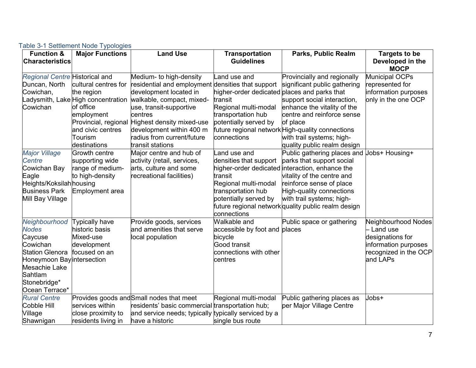<span id="page-13-0"></span>

| <b>Function &amp;</b>          | <b>Major Functions</b> | <b>Land Use</b>                                              | <b>Transportation</b>                        | <b>Parks, Public Realm</b>                          | Targets to be         |
|--------------------------------|------------------------|--------------------------------------------------------------|----------------------------------------------|-----------------------------------------------------|-----------------------|
| <b>Characteristics</b>         |                        |                                                              | <b>Guidelines</b>                            |                                                     | Developed in the      |
|                                |                        |                                                              |                                              |                                                     | <b>MOCP</b>           |
| Regional Centre Historical and |                        | Medium- to high-density                                      | Land use and                                 | Provincially and regionally                         | Municipal OCPs        |
| Duncan, North                  | cultural centres for   | residential and employment densities that support            |                                              | significant public gathering                        | represented for       |
| Cowichan,                      | the region             | development located in                                       | higher-order dedicated places and parks that |                                                     | information purposes  |
|                                |                        | _adysmith, Lake High concentration walkable, compact, mixed- | transit                                      | support social interaction,                         | only in the one OCP   |
| Cowichan                       | of office              | use, transit-supportive                                      | Regional multi-modal                         | enhance the vitality of the                         |                       |
|                                | employment             | centres                                                      | transportation hub                           | centre and reinforce sense                          |                       |
|                                |                        | Provincial, regional Highest density mixed-use               | potentially served by                        | of place                                            |                       |
|                                | and civic centres      | development within 400 m                                     |                                              | future regional network High-quality connections    |                       |
|                                | Tourism                | radius from current/future                                   | connections                                  | with trail systems; high-                           |                       |
|                                | destinations           | transit stations                                             |                                              | quality public realm design                         |                       |
| <b>Major Village</b>           | Growth centre          | Major centre and hub of                                      | Land use and                                 | Public gathering places and Jobs+ Housing+          |                       |
| Centre                         | supporting wide        | activity (retail, services,                                  | densities that support                       | parks that support social                           |                       |
| Cowichan Bay                   | range of medium-       | arts, culture and some                                       |                                              | higher-order dedicated interaction, enhance the     |                       |
| Eagle                          | to high-density        | recreational facilities)                                     | transit                                      | vitality of the centre and                          |                       |
| Heights/Koksilah housing       |                        |                                                              | Regional multi-modal                         | reinforce sense of place                            |                       |
| <b>Business Park</b>           | Employment area        |                                                              | transportation hub                           | High-quality connections                            |                       |
| Mill Bay Village               |                        |                                                              | potentially served by                        | with trail systems; high-                           |                       |
|                                |                        |                                                              |                                              | future regional network quality public realm design |                       |
|                                |                        |                                                              | connections                                  |                                                     |                       |
| Neighbourhood                  | Typically have         | Provide goods, services                                      | Walkable and                                 | Public space or gathering                           | Neighbourhood Nodes   |
| <b>Nodes</b>                   | historic basis         | and amenities that serve                                     | accessible by foot and places                |                                                     | - Land use            |
| Caycuse                        | Mixed-use              | local population                                             | bicycle                                      |                                                     | designations for      |
| Cowichan                       | development            |                                                              | Good transit                                 |                                                     | information purposes  |
| <b>Station Glenora</b>         | focused on an          |                                                              | connections with other                       |                                                     | recognized in the OCP |
| Honeymoon Bay intersection     |                        |                                                              | centres                                      |                                                     | and LAPs              |
| <b>Mesachie Lake</b>           |                        |                                                              |                                              |                                                     |                       |
| Sahtlam                        |                        |                                                              |                                              |                                                     |                       |
| Stonebridge*                   |                        |                                                              |                                              |                                                     |                       |
| Ocean Terrace*                 |                        |                                                              |                                              |                                                     |                       |
| <b>Rural Centre</b>            |                        | Provides goods and Small nodes that meet                     | Regional multi-modal                         | Public gathering places as                          | Jobs+                 |
| Cobble Hill                    | services within        | residents' basic commercial transportation hub;              |                                              | per Major Village Centre                            |                       |
| Village                        | close proximity to     | and service needs; typically typically serviced by a         |                                              |                                                     |                       |
| Shawnigan                      | residents living in    | have a historic                                              | single bus route                             |                                                     |                       |

#### Table 3-1 Settlement Node Typologies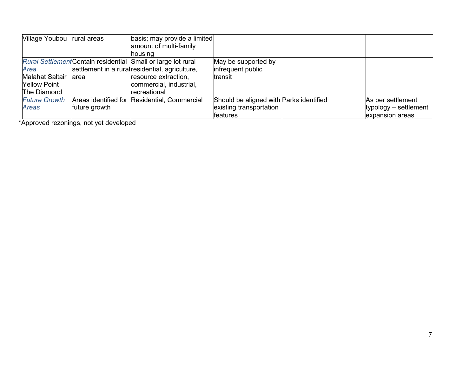| Village Youbou         | rural areas   | basis; may provide a limited                                  |                                         |                       |
|------------------------|---------------|---------------------------------------------------------------|-----------------------------------------|-----------------------|
|                        |               | amount of multi-family                                        |                                         |                       |
|                        |               | lhousina                                                      |                                         |                       |
|                        |               | Rural Settlement Contain residential Small or large lot rural | May be supported by                     |                       |
| Area                   |               | settlement in a rural residential, agriculture,               | infrequent public                       |                       |
| <b>Malahat Saltair</b> | larea         | resource extraction,                                          | transit                                 |                       |
| <b>Yellow Point</b>    |               | commercial, industrial,                                       |                                         |                       |
| The Diamond            |               | lrecreational                                                 |                                         |                       |
| <b>Future Growth</b>   |               | Areas identified for Residential, Commercial                  | Should be aligned with Parks identified | As per settlement     |
| Areas                  | future growth |                                                               | existing transportation                 | typology – settlement |
|                        |               |                                                               | features                                | expansion areas       |

\*Approved rezonings, not yet developed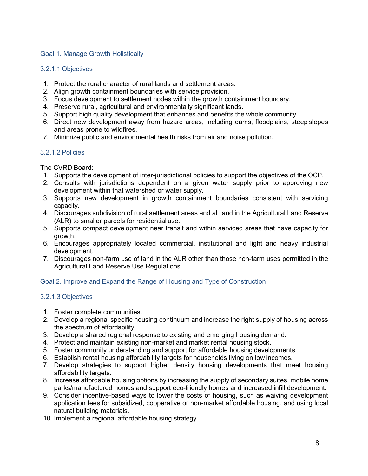#### <span id="page-15-0"></span>Goal 1. Manage Growth Holistically

#### 3.2.1.1 Objectives

- 1. Protect the rural character of rural lands and settlement areas.
- 2. Align growth containment boundaries with service provision.
- 3. Focus development to settlement nodes within the growth containment boundary.
- 4. Preserve rural, agricultural and environmentally significant lands.
- 5. Support high quality development that enhances and benefits the whole community.
- 6. Direct new development away from hazard areas, including dams, floodplains, steep slopes and areas prone to wildfires.
- 7. Minimize public and environmental health risks from air and noise pollution.

#### 3.2.1.2 Policies

The CVRD Board:

- 1. Supports the development of inter-jurisdictional policies to support the objectives of the OCP.
- 2. Consults with jurisdictions dependent on a given water supply prior to approving new development within that watershed or water supply.
- 3. Supports new development in growth containment boundaries consistent with servicing capacity.
- 4. Discourages subdivision of rural settlement areas and all land in the Agricultural Land Reserve (ALR) to smaller parcels for residential use.
- 5. Supports compact development near transit and within serviced areas that have capacity for growth.
- 6. Encourages appropriately located commercial, institutional and light and heavy industrial development.
- 7. Discourages non-farm use of land in the ALR other than those non-farm uses permitted in the Agricultural Land Reserve Use Regulations.

#### <span id="page-15-1"></span>Goal 2. Improve and Expand the Range of Housing and Type of Construction

#### 3.2.1.3 Objectives

- 1. Foster complete communities.
- 2. Develop a regional specific housing continuum and increase the right supply of housing across the spectrum of affordability.
- 3. Develop a shared regional response to existing and emerging housing demand.
- 4. Protect and maintain existing non-market and market rental housing stock.
- 5. Foster community understanding and support for affordable housing developments.
- 6. Establish rental housing affordability targets for households living on low incomes.
- 7. Develop strategies to support higher density housing developments that meet housing affordability targets.
- 8. Increase affordable housing options by increasing the supply of secondary suites, mobile home parks/manufactured homes and support eco-friendly homes and increased infill development.
- 9. Consider incentive-based ways to lower the costs of housing, such as waiving development application fees for subsidized, cooperative or non-market affordable housing, and using local natural building materials.
- 10. Implement a regional affordable housing strategy.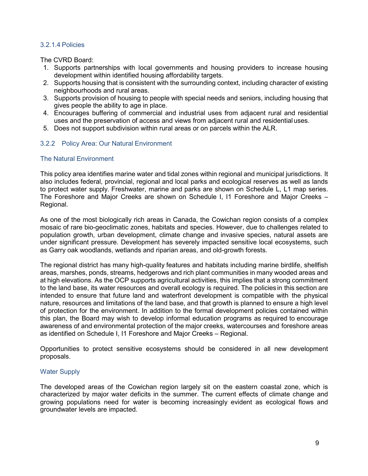#### 3.2.1.4 Policies

The CVRD Board:

- 1. Supports partnerships with local governments and housing providers to increase housing development within identified housing affordability targets.
- 2. Supports housing that is consistent with the surrounding context, including character of existing neighbourhoods and rural areas.
- 3. Supports provision of housing to people with special needs and seniors, including housing that gives people the ability to age in place.
- 4. Encourages buffering of commercial and industrial uses from adjacent rural and residential uses and the preservation of access and views from adjacent rural and residential uses.
- 5. Does not support subdivision within rural areas or on parcels within the ALR.

#### <span id="page-16-0"></span>3.2.2 Policy Area: Our Natural Environment

#### The Natural Environment

This policy area identifies marine water and tidal zones within regional and municipal jurisdictions. It also includes federal, provincial, regional and local parks and ecological reserves as well as lands to protect water supply. Freshwater, marine and parks are shown on Schedule L, L1 map series. The Foreshore and Major Creeks are shown on Schedule I, I1 Foreshore and Major Creeks – Regional.

As one of the most biologically rich areas in Canada, the Cowichan region consists of a complex mosaic of rare bio-geoclimatic zones, habitats and species. However, due to challenges related to population growth, urban development, climate change and invasive species, natural assets are under significant pressure. Development has severely impacted sensitive local ecosystems, such as Garry oak woodlands, wetlands and riparian areas, and old-growth forests.

The regional district has many high-quality features and habitats including marine birdlife, shellfish areas, marshes, ponds, streams, hedgerows and rich plant communities in many wooded areas and at high elevations. As the OCP supports agricultural activities, this implies that a strong commitment to the land base, its water resources and overall ecology is required. The policies in this section are intended to ensure that future land and waterfront development is compatible with the physical nature, resources and limitations of the land base, and that growth is planned to ensure a high level of protection for the environment. In addition to the formal development policies contained within this plan, the Board may wish to develop informal education programs as required to encourage awareness of and environmental protection of the major creeks, watercourses and foreshore areas as identified on Schedule I, I1 Foreshore and Major Creeks – Regional.

Opportunities to protect sensitive ecosystems should be considered in all new development proposals.

#### Water Supply

The developed areas of the Cowichan region largely sit on the eastern coastal zone, which is characterized by major water deficits in the summer. The current effects of climate change and growing populations need for water is becoming increasingly evident as ecological flows and groundwater levels are impacted.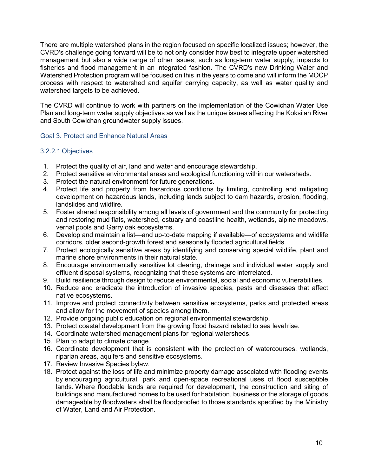There are multiple watershed plans in the region focused on specific localized issues; however, the CVRD's challenge going forward will be to not only consider how best to integrate upper watershed management but also a wide range of other issues, such as long-term water supply, impacts to fisheries and flood management in an integrated fashion. The CVRD's new Drinking Water and Watershed Protection program will be focused on this in the years to come and will inform the MOCP process with respect to watershed and aquifer carrying capacity, as well as water quality and watershed targets to be achieved.

The CVRD will continue to work with partners on the implementation of the Cowichan Water Use Plan and long-term water supply objectives as well as the unique issues affecting the Koksilah River and South Cowichan groundwater supply issues.

#### <span id="page-17-0"></span>Goal 3. Protect and Enhance Natural Areas

#### 3.2.2.1 Objectives

- 1. Protect the quality of air, land and water and encourage stewardship.
- 2. Protect sensitive environmental areas and ecological functioning within our watersheds.
- 3. Protect the natural environment for future generations.
- 4. Protect life and property from hazardous conditions by limiting, controlling and mitigating development on hazardous lands, including lands subject to dam hazards, erosion, flooding, landslides and wildfire.
- 5. Foster shared responsibility among all levels of government and the community for protecting and restoring mud flats, watershed, estuary and coastline health, wetlands, alpine meadows, vernal pools and Garry oak ecosystems.
- 6. Develop and maintain a list—and up-to-date mapping if available—of ecosystems and wildlife corridors, older second-growth forest and seasonally flooded agricultural fields.
- 7. Protect ecologically sensitive areas by identifying and conserving special wildlife, plant and marine shore environments in their natural state.
- 8. Encourage environmentally sensitive lot clearing, drainage and individual water supply and effluent disposal systems, recognizing that these systems are interrelated.
- 9. Build resilience through design to reduce environmental, social and economic vulnerabilities.
- 10. Reduce and eradicate the introduction of invasive species, pests and diseases that affect native ecosystems.
- 11. Improve and protect connectivity between sensitive ecosystems, parks and protected areas and allow for the movement of species among them.
- 12. Provide ongoing public education on regional environmental stewardship.
- 13. Protect coastal development from the growing flood hazard related to sea levelrise.
- 14. Coordinate watershed management plans for regional watersheds.
- 15. Plan to adapt to climate change.
- 16. Coordinate development that is consistent with the protection of watercourses, wetlands, riparian areas, aquifers and sensitive ecosystems.
- 17. Review Invasive Species bylaw.
- 18. Protect against the loss of life and minimize property damage associated with flooding events by encouraging agricultural, park and open-space recreational uses of flood susceptible lands. Where floodable lands are required for development, the construction and siting of buildings and manufactured homes to be used for habitation, business or the storage of goods damageable by floodwaters shall be floodproofed to those standards specified by the Ministry of Water, Land and Air Protection.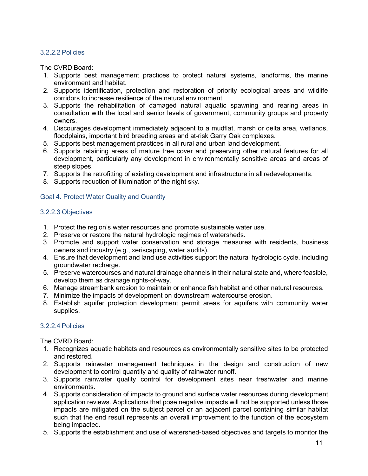#### 3.2.2.2 Policies

The CVRD Board:

- 1. Supports best management practices to protect natural systems, landforms, the marine environment and habitat.
- 2. Supports identification, protection and restoration of priority ecological areas and wildlife corridors to increase resilience of the natural environment.
- 3. Supports the rehabilitation of damaged natural aquatic spawning and rearing areas in consultation with the local and senior levels of government, community groups and property owners.
- 4. Discourages development immediately adjacent to a mudflat, marsh or delta area, wetlands, floodplains, important bird breeding areas and at-risk Garry Oak complexes.
- 5. Supports best management practices in all rural and urban land development.
- 6. Supports retaining areas of mature tree cover and preserving other natural features for all development, particularly any development in environmentally sensitive areas and areas of steep slopes.
- 7. Supports the retrofitting of existing development and infrastructure in all redevelopments.
- 8. Supports reduction of illumination of the night sky.

#### <span id="page-18-0"></span>Goal 4. Protect Water Quality and Quantity

#### 3.2.2.3 Objectives

- 1. Protect the region's water resources and promote sustainable water use.
- 2. Preserve or restore the natural hydrologic regimes of watersheds.
- 3. Promote and support water conservation and storage measures with residents, business owners and industry (e.g., xeriscaping, water audits).
- 4. Ensure that development and land use activities support the natural hydrologic cycle, including groundwater recharge.
- 5. Preserve watercourses and natural drainage channels in their natural state and, where feasible, develop them as drainage rights-of-way.
- 6. Manage streambank erosion to maintain or enhance fish habitat and other natural resources.
- 7. Minimize the impacts of development on downstream watercourse erosion.
- 8. Establish aquifer protection development permit areas for aquifers with community water supplies.

#### 3.2.2.4 Policies

The CVRD Board:

- 1. Recognizes aquatic habitats and resources as environmentally sensitive sites to be protected and restored.
- 2. Supports rainwater management techniques in the design and construction of new development to control quantity and quality of rainwater runoff.
- 3. Supports rainwater quality control for development sites near freshwater and marine environments.
- 4. Supports consideration of impacts to ground and surface water resources during development application reviews. Applications that pose negative impacts will not be supported unless those impacts are mitigated on the subject parcel or an adjacent parcel containing similar habitat such that the end result represents an overall improvement to the function of the ecosystem being impacted.
- 5. Supports the establishment and use of watershed-based objectives and targets to monitor the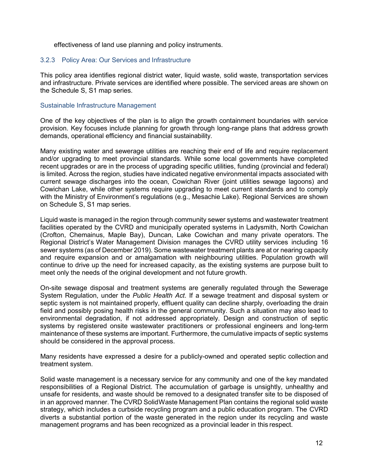effectiveness of land use planning and policy instruments.

#### <span id="page-19-0"></span>3.2.3 Policy Area: Our Services and Infrastructure

This policy area identifies regional district water, liquid waste, solid waste, transportation services and infrastructure. Private services are identified where possible. The serviced areas are shown on the Schedule S, S1 map series.

#### Sustainable Infrastructure Management

One of the key objectives of the plan is to align the growth containment boundaries with service provision. Key focuses include planning for growth through long-range plans that address growth demands, operational efficiency and financial sustainability.

Many existing water and sewerage utilities are reaching their end of life and require replacement and/or upgrading to meet provincial standards. While some local governments have completed recent upgrades or are in the process of upgrading specific utilities, funding (provincial and federal) is limited. Across the region, studies have indicated negative environmental impacts associated with current sewage discharges into the ocean, Cowichan River (joint utilities sewage lagoons) and Cowichan Lake, while other systems require upgrading to meet current standards and to comply with the Ministry of Environment's regulations (e.g., Mesachie Lake). Regional Services are shown on Schedule S, S1 map series.

Liquid waste is managed in the region through community sewer systems and wastewater treatment facilities operated by the CVRD and municipally operated systems in Ladysmith, North Cowichan (Crofton, Chemainus, Maple Bay), Duncan, Lake Cowichan and many private operators. The Regional District's Water Management Division manages the CVRD utility services including 16 sewer systems (as of December 2019). Some wastewater treatment plants are at or nearing capacity and require expansion and or amalgamation with neighbouring utilities. Population growth will continue to drive up the need for increased capacity, as the existing systems are purpose built to meet only the needs of the original development and not future growth.

On-site sewage disposal and treatment systems are generally regulated through the Sewerage System Regulation, under the *Public Health Act*. If a sewage treatment and disposal system or septic system is not maintained properly, effluent quality can decline sharply, overloading the drain field and possibly posing health risks in the general community. Such a situation may also lead to environmental degradation, if not addressed appropriately. Design and construction of septic systems by registered onsite wastewater practitioners or professional engineers and long-term maintenance of these systems are important. Furthermore, the cumulative impacts of septic systems should be considered in the approval process.

Many residents have expressed a desire for a publicly-owned and operated septic collection and treatment system.

Solid waste management is a necessary service for any community and one of the key mandated responsibilities of a Regional District. The accumulation of garbage is unsightly, unhealthy and unsafe for residents, and waste should be removed to a designated transfer site to be disposed of in an approved manner. The CVRD SolidWaste Management Plan contains the regional solid waste strategy, which includes a curbside recycling program and a public education program. The CVRD diverts a substantial portion of the waste generated in the region under its recycling and waste management programs and has been recognized as a provincial leader in this respect.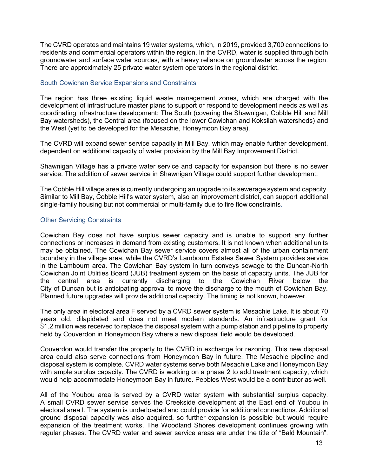The CVRD operates and maintains 19 water systems, which, in 2019, provided 3,700 connections to residents and commercial operators within the region. In the CVRD, water is supplied through both groundwater and surface water sources, with a heavy reliance on groundwater across the region. There are approximately 25 private water system operators in the regional district.

#### South Cowichan Service Expansions and Constraints

The region has three existing liquid waste management zones, which are charged with the development of infrastructure master plans to support or respond to development needs as well as coordinating infrastructure development: The South (covering the Shawnigan, Cobble Hill and Mill Bay watersheds), the Central area (focused on the lower Cowichan and Koksilah watersheds) and the West (yet to be developed for the Mesachie, Honeymoon Bay area).

The CVRD will expand sewer service capacity in Mill Bay, which may enable further development, dependent on additional capacity of water provision by the Mill Bay Improvement District.

Shawnigan Village has a private water service and capacity for expansion but there is no sewer service. The addition of sewer service in Shawnigan Village could support further development.

The Cobble Hill village area is currently undergoing an upgrade to its sewerage system and capacity. Similar to Mill Bay, Cobble Hill's water system, also an improvement district, can support additional single-family housing but not commercial or multi-family due to fire flow constraints.

#### Other Servicing Constraints

Cowichan Bay does not have surplus sewer capacity and is unable to support any further connections or increases in demand from existing customers. It is not known when additional units may be obtained. The Cowichan Bay sewer service covers almost all of the urban containment boundary in the village area, while the CVRD's Lambourn Estates Sewer System provides service in the Lambourn area. The Cowichan Bay system in turn conveys sewage to the Duncan-North Cowichan Joint Utilities Board (JUB) treatment system on the basis of capacity units. The JUB for the central area is currently discharging to the Cowichan River below the City of Duncan but is anticipating approval to move the discharge to the mouth of Cowichan Bay. Planned future upgrades will provide additional capacity. The timing is not known, however.

The only area in electoral area F served by a CVRD sewer system is Mesachie Lake. It is about 70 years old, dilapidated and does not meet modern standards. An infrastructure grant for \$1.2 million was received to replace the disposal system with a pump station and pipeline to property held by Couverdon in Honeymoon Bay where a new disposal field would be developed.

Couverdon would transfer the property to the CVRD in exchange for rezoning. This new disposal area could also serve connections from Honeymoon Bay in future. The Mesachie pipeline and disposal system is complete. CVRD water systems serve both Mesachie Lake and Honeymoon Bay with ample surplus capacity. The CVRD is working on a phase 2 to add treatment capacity, which would help accommodate Honeymoon Bay in future. Pebbles West would be a contributor as well.

All of the Youbou area is served by a CVRD water system with substantial surplus capacity. A small CVRD sewer service serves the Creekside development at the East end of Youbou in electoral area I. The system is underloaded and could provide for additional connections. Additional ground disposal capacity was also acquired, so further expansion is possible but would require expansion of the treatment works. The Woodland Shores development continues growing with regular phases. The CVRD water and sewer service areas are under the title of "Bald Mountain".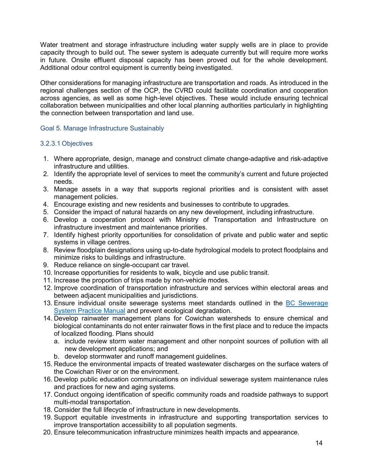Water treatment and storage infrastructure including water supply wells are in place to provide capacity through to build out. The sewer system is adequate currently but will require more works in future. Onsite effluent disposal capacity has been proved out for the whole development. Additional odour control equipment is currently being investigated.

Other considerations for managing infrastructure are transportation and roads. As introduced in the regional challenges section of the OCP, the CVRD could facilitate coordination and cooperation across agencies, as well as some high-level objectives. These would include ensuring technical collaboration between municipalities and other local planning authorities particularly in highlighting the connection between transportation and land use.

#### <span id="page-21-0"></span>Goal 5. Manage Infrastructure Sustainably

#### 3.2.3.1 Objectives

- 1. Where appropriate, design, manage and construct climate change-adaptive and risk-adaptive infrastructure and utilities.
- 2. Identify the appropriate level of services to meet the community's current and future projected needs.
- 3. Manage assets in a way that supports regional priorities and is consistent with asset management policies.
- 4. Encourage existing and new residents and businesses to contribute to upgrades.
- 5. Consider the impact of natural hazards on any new development, including infrastructure.
- 6. Develop a cooperation protocol with Ministry of Transportation and Infrastructure on infrastructure investment and maintenance priorities.
- 7. Identify highest priority opportunities for consolidation of private and public water and septic systems in village centres.
- 8. Review floodplain designations using up-to-date hydrological models to protect floodplains and minimize risks to buildings and infrastructure.
- 9. Reduce reliance on single-occupant car travel.
- 10. Increase opportunities for residents to walk, bicycle and use public transit.
- 11. Increase the proportion of trips made by non-vehicle modes.
- 12. Improve coordination of transportation infrastructure and services within electoral areas and between adjacent municipalities and jurisdictions.
- 13. Ensure individual onsite sewerage systems meet standards outlined in the [BC Sewerage](https://www2.gov.bc.ca/gov/content/environment/waste-management/sewage/onsite-sewage-systems/sewerage-system-standard-practice-manual) [System Practice Manual](https://www2.gov.bc.ca/gov/content/environment/waste-management/sewage/onsite-sewage-systems/sewerage-system-standard-practice-manual) and prevent ecological degradation.
- 14. Develop rainwater management plans for Cowichan watersheds to ensure chemical and biological contaminants do not enter rainwater flows in the first place and to reduce the impacts of localized flooding. Plans should
	- a. include review storm water management and other nonpoint sources of pollution with all new development applications; and
	- b. develop stormwater and runoff management guidelines.
- 15. Reduce the environmental impacts of treated wastewater discharges on the surface waters of the Cowichan River or on the environment.
- 16. Develop public education communications on individual sewerage system maintenance rules and practices for new and aging systems.
- 17. Conduct ongoing identification of specific community roads and roadside pathways to support multi-modal transportation.
- 18. Consider the full lifecycle of infrastructure in new developments.
- 19. Support equitable investments in infrastructure and supporting transportation services to improve transportation accessibility to all population segments.
- 20. Ensure telecommunication infrastructure minimizes health impacts and appearance.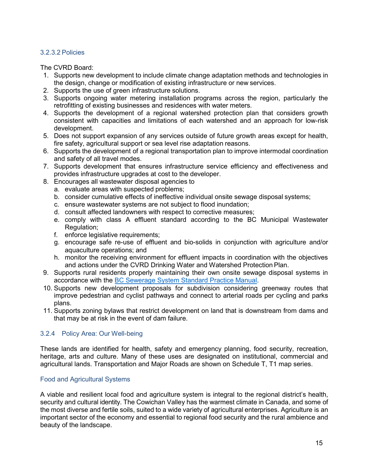#### 3.2.3.2 Policies

The CVRD Board:

- 1. Supports new development to include climate change adaptation methods and technologies in the design, change or modification of existing infrastructure or new services.
- 2. Supports the use of green infrastructure solutions.
- 3. Supports ongoing water metering installation programs across the region, particularly the retrofitting of existing businesses and residences with water meters.
- 4. Supports the development of a regional watershed protection plan that considers growth consistent with capacities and limitations of each watershed and an approach for low-risk development.
- 5. Does not support expansion of any services outside of future growth areas except for health, fire safety, agricultural support or sea level rise adaptation reasons.
- 6. Supports the development of a regional transportation plan to improve intermodal coordination and safety of all travel modes.
- 7. Supports development that ensures infrastructure service efficiency and effectiveness and provides infrastructure upgrades at cost to the developer.
- 8. Encourages all wastewater disposal agencies to
	- a. evaluate areas with suspected problems;
	- b. consider cumulative effects of ineffective individual onsite sewage disposal systems;
	- c. ensure wastewater systems are not subject to flood inundation;
	- d. consult affected landowners with respect to corrective measures;
	- e. comply with class A effluent standard according to the BC Municipal Wastewater Regulation;
	- f. enforce legislative requirements;
	- g. encourage safe re-use of effluent and bio-solids in conjunction with agriculture and/or aquaculture operations; and
	- h. monitor the receiving environment for effluent impacts in coordination with the objectives and actions under the CVRD Drinking Water and Watershed Protection Plan.
- 9. Supports rural residents properly maintaining their own onsite sewage disposal systems in accordance with the [BC Sewerage System Standard Practice](https://www2.gov.bc.ca/gov/content/environment/waste-management/sewage/onsite-sewage-systems/sewerage-system-standard-practice-manual) Manual.
- 10. Supports new development proposals for subdivision considering greenway routes that improve pedestrian and cyclist pathways and connect to arterial roads per cycling and parks plans.
- 11. Supports zoning bylaws that restrict development on land that is downstream from dams and that may be at risk in the event of dam failure.

#### <span id="page-22-0"></span>3.2.4 Policy Area: Our Well-being

These lands are identified for health, safety and emergency planning, food security, recreation, heritage, arts and culture. Many of these uses are designated on institutional, commercial and agricultural lands. Transportation and Major Roads are shown on Schedule T, T1 map series.

#### Food and Agricultural Systems

A viable and resilient local food and agriculture system is integral to the regional district's health, security and cultural identity. The Cowichan Valley has the warmest climate in Canada, and some of the most diverse and fertile soils, suited to a wide variety of agricultural enterprises. Agriculture is an important sector of the economy and essential to regional food security and the rural ambience and beauty of the landscape.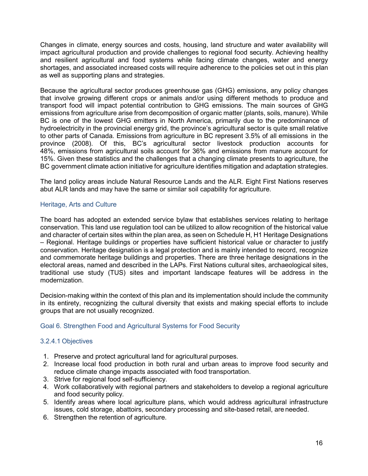Changes in climate, energy sources and costs, housing, land structure and water availability will impact agricultural production and provide challenges to regional food security. Achieving healthy and resilient agricultural and food systems while facing climate changes, water and energy shortages, and associated increased costs will require adherence to the policies set out in this plan as well as supporting plans and strategies.

Because the agricultural sector produces greenhouse gas (GHG) emissions, any policy changes that involve growing different crops or animals and/or using different methods to produce and transport food will impact potential contribution to GHG emissions. The main sources of GHG emissions from agriculture arise from decomposition of organic matter (plants, soils, manure). While BC is one of the lowest GHG emitters in North America, primarily due to the predominance of hydroelectricity in the provincial energy grid, the province's agricultural sector is quite small relative to other parts of Canada. Emissions from agriculture in BC represent 3.5% of all emissions in the province (2008). Of this, BC's agricultural sector livestock production accounts for 48%, emissions from agricultural soils account for 36% and emissions from manure account for 15%. Given these statistics and the challenges that a changing climate presents to agriculture, the BC government climate action initiative for agriculture identifies mitigation and adaptation strategies.

The land policy areas include Natural Resource Lands and the ALR. Eight First Nations reserves abut ALR lands and may have the same or similar soil capability for agriculture.

#### Heritage, Arts and Culture

The board has adopted an extended service bylaw that establishes services relating to heritage conservation. This land use regulation tool can be utilized to allow recognition of the historical value and character of certain sites within the plan area, as seen on Schedule H, H1 Heritage Designations – Regional. Heritage buildings or properties have sufficient historical value or character to justify conservation. Heritage designation is a legal protection and is mainly intended to record, recognize and commemorate heritage buildings and properties. There are three heritage designations in the electoral areas, named and described in the LAPs. First Nations cultural sites, archaeological sites, traditional use study (TUS) sites and important landscape features will be address in the modernization.

Decision-making within the context of this plan and its implementation should include the community in its entirety, recognizing the cultural diversity that exists and making special efforts to include groups that are not usually recognized.

#### <span id="page-23-0"></span>Goal 6. Strengthen Food and Agricultural Systems for Food Security

#### 3.2.4.1 Objectives

- 1. Preserve and protect agricultural land for agricultural purposes.
- 2. Increase local food production in both rural and urban areas to improve food security and reduce climate change impacts associated with food transportation.
- 3. Strive for regional food self-sufficiency.
- 4. Work collaboratively with regional partners and stakeholders to develop a regional agriculture and food security policy.
- 5. Identify areas where local agriculture plans, which would address agricultural infrastructure issues, cold storage, abattoirs, secondary processing and site-based retail, are needed.
- 6. Strengthen the retention of agriculture.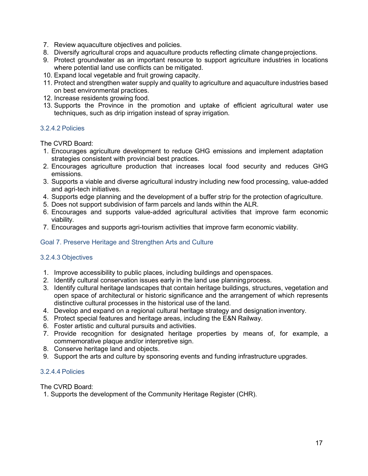- 7. Review aquaculture objectives and policies.
- 8. Diversify agricultural crops and aquaculture products reflecting climate changeprojections.
- 9. Protect groundwater as an important resource to support agriculture industries in locations where potential land use conflicts can be mitigated.
- 10. Expand local vegetable and fruit growing capacity.
- 11. Protect and strengthen water supply and quality to agriculture and aquaculture industries based on best environmental practices.
- 12. Increase residents growing food.
- 13. Supports the Province in the promotion and uptake of efficient agricultural water use techniques, such as drip irrigation instead of spray irrigation.

#### 3.2.4.2 Policies

The CVRD Board:

- 1. Encourages agriculture development to reduce GHG emissions and implement adaptation strategies consistent with provincial best practices.
- 2. Encourages agriculture production that increases local food security and reduces GHG emissions.
- 3. Supports a viable and diverse agricultural industry including new food processing, value-added and agri-tech initiatives.
- 4. Supports edge planning and the development of a buffer strip for the protection ofagriculture.
- 5. Does not support subdivision of farm parcels and lands within the ALR.
- 6. Encourages and supports value-added agricultural activities that improve farm economic viability.
- 7. Encourages and supports agri-tourism activities that improve farm economic viability.

#### <span id="page-24-0"></span>Goal 7. Preserve Heritage and Strengthen Arts and Culture

#### 3.2.4.3 Objectives

- 1. Improve accessibility to public places, including buildings and openspaces.
- 2. Identify cultural conservation issues early in the land use planningprocess.
- 3. Identify cultural heritage landscapes that contain heritage buildings, structures, vegetation and open space of architectural or historic significance and the arrangement of which represents distinctive cultural processes in the historical use of the land.
- 4. Develop and expand on a regional cultural heritage strategy and designation inventory.
- 5. Protect special features and heritage areas, including the E&N Railway.
- 6. Foster artistic and cultural pursuits and activities.
- 7. Provide recognition for designated heritage properties by means of, for example, a commemorative plaque and/or interpretive sign.
- 8. Conserve heritage land and objects.
- 9. Support the arts and culture by sponsoring events and funding infrastructure upgrades.

#### 3.2.4.4 Policies

The CVRD Board:

1. Supports the development of the Community Heritage Register (CHR).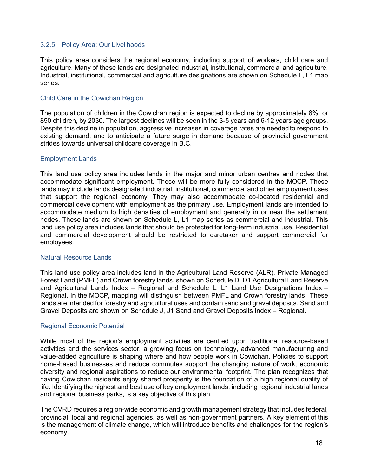#### <span id="page-25-0"></span>3.2.5 Policy Area: Our Livelihoods

This policy area considers the regional economy, including support of workers, child care and agriculture. Many of these lands are designated industrial, institutional, commercial and agriculture. Industrial, institutional, commercial and agriculture designations are shown on Schedule L, L1 map series.

#### Child Care in the Cowichan Region

The population of children in the Cowichan region is expected to decline by approximately 8%, or 850 children, by 2030. The largest declines will be seen in the 3-5 years and 6-12 years age groups. Despite this decline in population, aggressive increases in coverage rates are neededto respond to existing demand, and to anticipate a future surge in demand because of provincial government strides towards universal childcare coverage in B.C.

#### Employment Lands

This land use policy area includes lands in the major and minor urban centres and nodes that accommodate significant employment. These will be more fully considered in the MOCP. These lands may include lands designated industrial, institutional, commercial and other employment uses that support the regional economy. They may also accommodate co-located residential and commercial development with employment as the primary use. Employment lands are intended to accommodate medium to high densities of employment and generally in or near the settlement nodes. These lands are shown on Schedule L, L1 map series as commercial and industrial. This land use policy area includes lands that should be protected for long-term industrial use. Residential and commercial development should be restricted to caretaker and support commercial for employees.

#### Natural Resource Lands

This land use policy area includes land in the Agricultural Land Reserve (ALR), Private Managed Forest Land (PMFL) and Crown forestry lands, shown on Schedule D, D1 Agricultural Land Reserve and Agricultural Lands Index – Regional and Schedule L, L1 Land Use Designations Index – Regional. In the MOCP, mapping will distinguish between PMFL and Crown forestry lands. These lands are intended for forestry and agricultural uses and contain sand and gravel deposits. Sand and Gravel Deposits are shown on Schedule J, J1 Sand and Gravel Deposits Index – Regional.

#### Regional Economic Potential

While most of the region's employment activities are centred upon traditional resource-based activities and the services sector, a growing focus on technology, advanced manufacturing and value-added agriculture is shaping where and how people work in Cowichan. Policies to support home-based businesses and reduce commutes support the changing nature of work, economic diversity and regional aspirations to reduce our environmental footprint. The plan recognizes that having Cowichan residents enjoy shared prosperity is the foundation of a high regional quality of life. Identifying the highest and best use of key employment lands, including regional industrial lands and regional business parks, is a key objective of this plan.

The CVRD requires a region-wide economic and growth management strategy that includes federal, provincial, local and regional agencies, as well as non-government partners. A key element of this is the management of climate change, which will introduce benefits and challenges for the region's economy.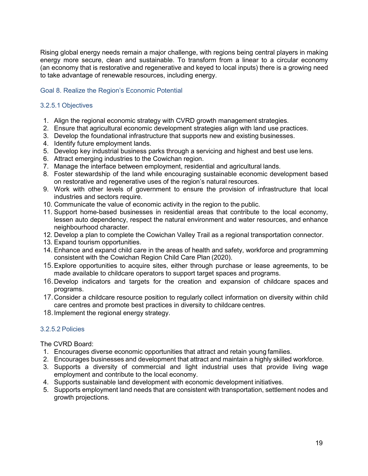Rising global energy needs remain a major challenge, with regions being central players in making energy more secure, clean and sustainable. To transform from a linear to a circular economy (an economy that is restorative and regenerative and keyed to local inputs) there is a growing need to take advantage of renewable resources, including energy.

#### <span id="page-26-0"></span>Goal 8. Realize the Region's Economic Potential

#### 3.2.5.1 Objectives

- 1. Align the regional economic strategy with CVRD growth management strategies.
- 2. Ensure that agricultural economic development strategies align with land use practices.
- 3. Develop the foundational infrastructure that supports new and existing businesses.
- 4. Identify future employment lands.
- 5. Develop key industrial business parks through a servicing and highest and best use lens.
- 6. Attract emerging industries to the Cowichan region.
- 7. Manage the interface between employment, residential and agricultural lands.
- 8. Foster stewardship of the land while encouraging sustainable economic development based on restorative and regenerative uses of the region's natural resources.
- 9. Work with other levels of government to ensure the provision of infrastructure that local industries and sectors require.
- 10. Communicate the value of economic activity in the region to the public.
- 11. Support home-based businesses in residential areas that contribute to the local economy, lessen auto dependency, respect the natural environment and water resources, and enhance neighbourhood character.
- 12. Develop a plan to complete the Cowichan Valley Trail as a regional transportation connector.
- 13. Expand tourism opportunities.
- 14. Enhance and expand child care in the areas of health and safety, workforce and programming consistent with the Cowichan Region Child Care Plan (2020).
- 15.Explore opportunities to acquire sites, either through purchase or lease agreements, to be made available to childcare operators to support target spaces and programs.
- 16.Develop indicators and targets for the creation and expansion of childcare spaces and programs.
- 17.Consider a childcare resource position to regularly collect information on diversity within child care centres and promote best practices in diversity to childcare centres.
- 18.Implement the regional energy strategy.

#### 3.2.5.2 Policies

The CVRD Board:

- 1. Encourages diverse economic opportunities that attract and retain young families.
- 2. Encourages businesses and development that attract and maintain a highly skilled workforce.
- 3. Supports a diversity of commercial and light industrial uses that provide living wage employment and contribute to the local economy.
- 4. Supports sustainable land development with economic development initiatives.
- 5. Supports employment land needs that are consistent with transportation, settlement nodes and growth projections.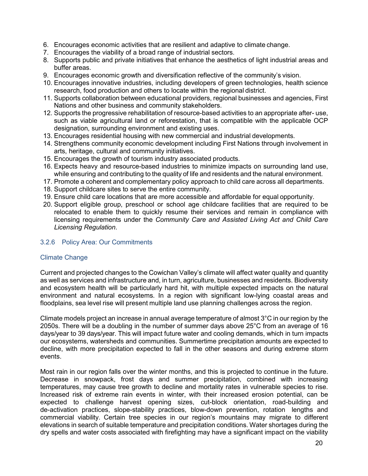- 6. Encourages economic activities that are resilient and adaptive to climate change.
- 7. Encourages the viability of a broad range of industrial sectors.
- 8. Supports public and private initiatives that enhance the aesthetics of light industrial areas and buffer areas.
- 9. Encourages economic growth and diversification reflective of the community's vision.
- 10. Encourages innovative industries, including developers of green technologies, health science research, food production and others to locate within the regional district.
- 11. Supports collaboration between educational providers, regional businesses and agencies, First Nations and other business and community stakeholders.
- 12. Supports the progressive rehabilitation of resource-based activities to an appropriate after- use, such as viable agricultural land or reforestation, that is compatible with the applicable OCP designation, surrounding environment and existing uses.
- 13. Encourages residential housing with new commercial and industrial developments.
- 14. Strengthens community economic development including First Nations through involvement in arts, heritage, cultural and community initiatives.
- 15. Encourages the growth of tourism industry associated products.
- 16. Expects heavy and resource-based industries to minimize impacts on surrounding land use, while ensuring and contributing to the quality of life and residents and the natural environment.
- 17. Promote a coherent and complementary policy approach to child care across all departments.
- 18. Support childcare sites to serve the entire community.
- 19. Ensure child care locations that are more accessible and affordable for equal opportunity.
- 20. Support eligible group, preschool or school age childcare facilities that are required to be relocated to enable them to quickly resume their services and remain in compliance with licensing requirements under the *Community Care and Assisted Living Act and Child Care Licensing Regulation*.

#### <span id="page-27-0"></span>3.2.6 Policy Area: Our Commitments

#### Climate Change

Current and projected changes to the Cowichan Valley's climate will affect water quality and quantity as well as services and infrastructure and, in turn, agriculture, businesses and residents. Biodiversity and ecosystem health will be particularly hard hit, with multiple expected impacts on the natural environment and natural ecosystems. In a region with significant low-lying coastal areas and floodplains, sea level rise will present multiple land use planning challenges across the region.

Climate models project an increase in annual average temperature of almost 3°C in our region by the 2050s. There will be a doubling in the number of summer days above 25°C from an average of 16 days/year to 39 days/year. This will impact future water and cooling demands, which in turn impacts our ecosystems, watersheds and communities. Summertime precipitation amounts are expected to decline, with more precipitation expected to fall in the other seasons and during extreme storm events.

Most rain in our region falls over the winter months, and this is projected to continue in the future. Decrease in snowpack, frost days and summer precipitation, combined with increasing temperatures, may cause tree growth to decline and mortality rates in vulnerable species to rise. Increased risk of extreme rain events in winter, with their increased erosion potential, can be expected to challenge harvest opening sizes, cut-block orientation, road-building and de-activation practices, slope-stability practices, blow-down prevention, rotation lengths and commercial viability. Certain tree species in our region's mountains may migrate to different elevations in search of suitable temperature and precipitation conditions. Water shortages during the dry spells and water costs associated with firefighting may have a significant impact on the viability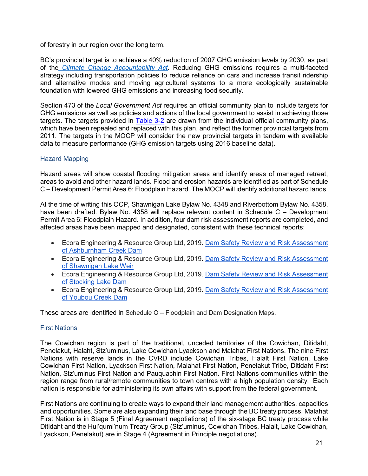of forestry in our region over the long term.

BC's provincial target is to achieve a 40% reduction of 2007 GHG emission levels by 2030, as part of the *Climate Change [Accountability](http://www.bclaws.ca/EPLibraries/bclaws_new/document/ID/freeside/00_07042_01) Act*. Reducing GHG emissions requires a multi-faceted strategy including transportation policies to reduce reliance on cars and increase transit ridership and alternative modes and moving agricultural systems to a more ecologically sustainable foundation with lowered GHG emissions and increasing food security.

Section 473 of the *Local Government Act* requires an official community plan to include targets for GHG emissions as well as policies and actions of the local government to assist in achieving those targets. The targets provided in [Table 3-2](#page-31-1) are drawn from the individual official community plans, which have been repealed and replaced with this plan, and reflect the former provincial targets from 2011. The targets in the MOCP will consider the new provincial targets in tandem with available data to measure performance (GHG emission targets using 2016 baseline data).

#### Hazard Mapping

Hazard areas will show coastal flooding mitigation areas and identify areas of managed retreat, areas to avoid and other hazard lands. Flood and erosion hazards are identified as part of Schedule C – Development Permit Area 6: Floodplain Hazard. The MOCP will identify additional hazard lands.

At the time of writing this OCP, Shawnigan Lake Bylaw No. 4348 and Riverbottom Bylaw No. 4358, have been drafted. Bylaw No. 4358 will replace relevant content in Schedule C – Development Permit Area 6: Floodplain Hazard. In addition, four dam risk assessment reports are completed, and affected areas have been mapped and designated, consistent with these technical reports:

- Ecora Engineering & Resource Group Ltd, 2019. [Dam Safety Review and Risk Assessment](https://www.cvrd.ca/DocumentCenter/View/99989/Ashburnham-Creek-Dam-Safety-Review?bidId=)  [of Ashburnham Creek Dam](https://www.cvrd.ca/DocumentCenter/View/99989/Ashburnham-Creek-Dam-Safety-Review?bidId=)
- Ecora Engineering & Resource Group Ltd, 2019. [Dam Safety Review and Risk Assessment](https://www.cvrd.ca/DocumentCenter/View/99990/Shawnigan-Lake-Dam-Safety-Review?bidId=)  [of Shawnigan Lake Weir](https://www.cvrd.ca/DocumentCenter/View/99990/Shawnigan-Lake-Dam-Safety-Review?bidId=)
- Ecora Engineering & Resource Group Ltd, 2019. [Dam Safety Review and Risk Assessment](https://www.cvrd.ca/DocumentCenter/View/99991/Stocking-Lake-Dam-Safety-Review?bidId=)  [of Stocking Lake Dam](https://www.cvrd.ca/DocumentCenter/View/99991/Stocking-Lake-Dam-Safety-Review?bidId=)
- Ecora Engineering & Resource Group Ltd, 2019. [Dam Safety Review and Risk Assessment](https://www.cvrd.ca/DocumentCenter/View/99992/Youbou-Creek-Dam-Dam-Safety-Review?bidId=)  of Youbou [Creek Dam](https://www.cvrd.ca/DocumentCenter/View/99992/Youbou-Creek-Dam-Dam-Safety-Review?bidId=)

These areas are identified in Schedule O – Floodplain and Dam Designation Maps.

#### First Nations

The Cowichan region is part of the traditional, unceded territories of the Cowichan, Ditidaht, Penelakut, Halaht, Stz'uminus, Lake Cowichan Lyackson and Malahat First Nations. The nine First Nations with reserve lands in the CVRD include Cowichan Tribes, Halalt First Nation, Lake Cowichan First Nation, Lyackson First Nation, Malahat First Nation, Penelakut Tribe, Ditidaht First Nation, Stz'uminus First Nation and Pauquachin First Nation. First Nations communities within the region range from rural/remote communities to town centres with a high population density. Each nation is responsible for administering its own affairs with support from the federal government.

First Nations are continuing to create ways to expand their land management authorities, capacities and opportunities. Some are also expanding their land base through the BC treaty process. Malahat First Nation is in Stage 5 (Final Agreement negotiations) of the six-stage BC treaty process while Ditidaht and the Hul'qumi'num Treaty Group (Stz'uminus, Cowichan Tribes, Halalt, Lake Cowichan, Lyackson, Penelakut) are in Stage 4 (Agreement in Principle negotiations).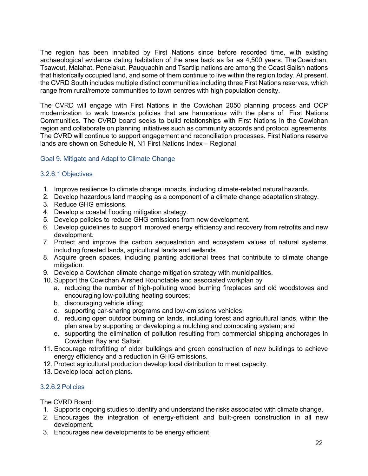The region has been inhabited by First Nations since before recorded time, with existing archaeological evidence dating habitation of the area back as far as 4,500 years. TheCowichan, Tsawout, Malahat, Penelakut, Pauquachin and Tsartlip nations are among the Coast Salish nations that historically occupied land, and some of them continue to live within the region today. At present, the CVRD South includes multiple distinct communities including three First Nations reserves, which range from rural/remote communities to town centres with high population density.

The CVRD will engage with First Nations in the Cowichan 2050 planning process and OCP modernization to work towards policies that are harmonious with the plans of First Nations Communities. The CVRD board seeks to build relationships with First Nations in the Cowichan region and collaborate on planning initiatives such as community accords and protocol agreements. The CVRD will continue to support engagement and reconciliation processes. First Nations reserve lands are shown on Schedule N, N1 First Nations Index – Regional.

#### <span id="page-29-0"></span>Goal 9. Mitigate and Adapt to Climate Change

#### 3.2.6.1 Objectives

- 1. Improve resilience to climate change impacts, including climate-related natural hazards.
- 2. Develop hazardous land mapping as a component of a climate change adaptation strategy.
- 3. Reduce GHG emissions.
- 4. Develop a coastal flooding mitigation strategy.
- 5. Develop policies to reduce GHG emissions from new development.
- 6. Develop guidelines to support improved energy efficiency and recovery from retrofits and new development.
- 7. Protect and improve the carbon sequestration and ecosystem values of natural systems, including forested lands, agricultural lands and wetlands.
- 8. Acquire green spaces, including planting additional trees that contribute to climate change mitigation.
- 9. Develop a Cowichan climate change mitigation strategy with municipalities.
- 10. Support the Cowichan Airshed Roundtable and associated workplan by
	- a. reducing the number of high-polluting wood burning fireplaces and old woodstoves and encouraging low-polluting heating sources;
	- b. discouraging vehicle idling;
	- c. supporting car-sharing programs and low-emissions vehicles;
	- d. reducing open outdoor burning on lands, including forest and agricultural lands, within the plan area by supporting or developing a mulching and composting system; and
	- e. supporting the elimination of pollution resulting from commercial shipping anchorages in Cowichan Bay and Saltair.
- 11. Encourage retrofitting of older buildings and green construction of new buildings to achieve energy efficiency and a reduction in GHG emissions.
- 12. Protect agricultural production develop local distribution to meet capacity.
- 13. Develop local action plans.

#### 3.2.6.2 Policies

The CVRD Board:

- 1. Supports ongoing studies to identify and understand the risks associated with climate change.
- 2. Encourages the integration of energy-efficient and built-green construction in all new development.
- 3. Encourages new developments to be energy efficient.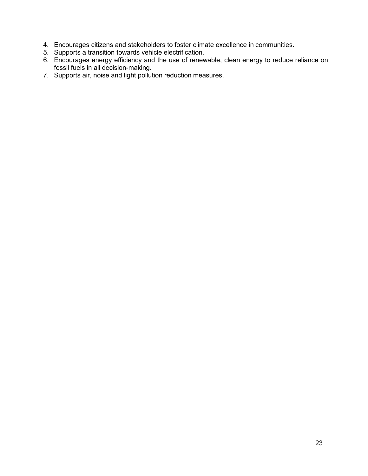- 4. Encourages citizens and stakeholders to foster climate excellence in communities.
- 5. Supports a transition towards vehicle electrification.
- 6. Encourages energy efficiency and the use of renewable, clean energy to reduce reliance on fossil fuels in all decision-making.
- 7. Supports air, noise and light pollution reduction measures.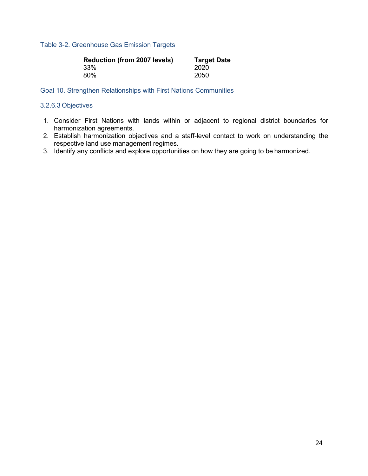#### <span id="page-31-1"></span>Table 3-2. Greenhouse Gas Emission Targets

| <b>Reduction (from 2007 levels)</b> | <b>Target Date</b> |
|-------------------------------------|--------------------|
| 33%                                 | 2020               |
| 80%                                 | 2050               |

<span id="page-31-0"></span>Goal 10. Strengthen Relationships with First Nations Communities

#### 3.2.6.3 Objectives

- 1. Consider First Nations with lands within or adjacent to regional district boundaries for harmonization agreements.
- 2. Establish harmonization objectives and a staff-level contact to work on understanding the respective land use management regimes.
- 3. Identify any conflicts and explore opportunities on how they are going to be harmonized.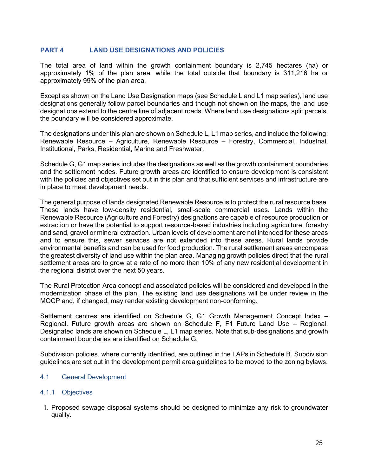#### <span id="page-32-0"></span>**PART 4 LAND USE DESIGNATIONS AND POLICIES**

The total area of land within the growth containment boundary is 2,745 hectares (ha) or approximately 1% of the plan area, while the total outside that boundary is 311,216 ha or approximately 99% of the plan area.

Except as shown on the Land Use Designation maps (see Schedule L and L1 map series), land use designations generally follow parcel boundaries and though not shown on the maps, the land use designations extend to the centre line of adjacent roads. Where land use designations split parcels, the boundary will be considered approximate.

The designations under this plan are shown on Schedule L, L1 map series, and include the following: Renewable Resource – Agriculture, Renewable Resource – Forestry, Commercial, Industrial, Institutional, Parks, Residential, Marine and Freshwater.

Schedule G, G1 map series includes the designations as well as the growth containment boundaries and the settlement nodes. Future growth areas are identified to ensure development is consistent with the policies and objectives set out in this plan and that sufficient services and infrastructure are in place to meet development needs.

The general purpose of lands designated Renewable Resource is to protect the rural resource base. These lands have low-density residential, small-scale commercial uses. Lands within the Renewable Resource (Agriculture and Forestry) designations are capable of resource production or extraction or have the potential to support resource-based industries including agriculture, forestry and sand, gravel or mineral extraction. Urban levels of development are not intended for these areas and to ensure this, sewer services are not extended into these areas. Rural lands provide environmental benefits and can be used for food production. The rural settlement areas encompass the greatest diversity of land use within the plan area. Managing growth policies direct that the rural settlement areas are to grow at a rate of no more than 10% of any new residential development in the regional district over the next 50 years.

The Rural Protection Area concept and associated policies will be considered and developed in the modernization phase of the plan. The existing land use designations will be under review in the MOCP and, if changed, may render existing development non-conforming.

Settlement centres are identified on Schedule G, G1 Growth Management Concept Index – Regional. Future growth areas are shown on Schedule F, F1 Future Land Use – Regional. Designated lands are shown on Schedule L, L1 map series. Note that sub-designations and growth containment boundaries are identified on Schedule G.

Subdivision policies, where currently identified, are outlined in the LAPs in Schedule B. Subdivision guidelines are set out in the development permit area guidelines to be moved to the zoning bylaws.

#### <span id="page-32-1"></span>4.1 General Development

#### 4.1.1 Objectives

1. Proposed sewage disposal systems should be designed to minimize any risk to groundwater quality.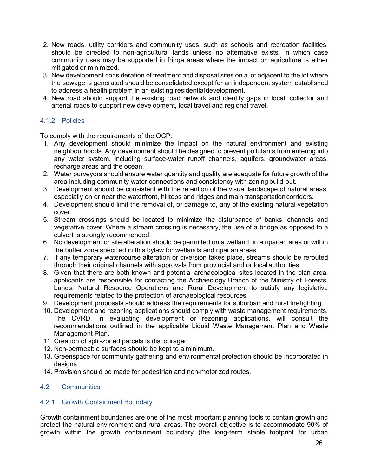- 2. New roads, utility corridors and community uses, such as schools and recreation facilities, should be directed to non-agricultural lands unless no alternative exists, in which case community uses may be supported in fringe areas where the impact on agriculture is either mitigated or minimized.
- 3. New development consideration of treatment and disposal sites on a lot adjacent to the lot where the sewage is generated should be consolidated except for an independent system established to address a health problem in an existing residentialdevelopment.
- 4. New road should support the existing road network and identify gaps in local, collector and arterial roads to support new development, local travel and regional travel.

#### 4.1.2 Policies

To comply with the requirements of the OCP:

- 1. Any development should minimize the impact on the natural environment and existing neighbourhoods. Any development should be designed to prevent pollutants from entering into any water system, including surface-water runoff channels, aquifers, groundwater areas. recharge areas and the ocean.
- 2. Water purveyors should ensure water quantity and quality are adequate for future growth of the area including community water connections and consistency with zoning build-out.
- 3. Development should be consistent with the retention of the visual landscape of natural areas, especially on or near the waterfront, hilltops and ridges and main transportation corridors.
- 4. Development should limit the removal of, or damage to, any of the existing natural vegetation cover.
- 5. Stream crossings should be located to minimize the disturbance of banks, channels and vegetative cover. Where a stream crossing is necessary, the use of a bridge as opposed to a culvert is strongly recommended.
- 6. No development or site alteration should be permitted on a wetland, in a riparian area or within the buffer zone specified in this bylaw for wetlands and riparian areas.
- 7. If any temporary watercourse alteration or diversion takes place, streams should be rerouted through their original channels with approvals from provincial and or local authorities.
- 8. Given that there are both known and potential archaeological sites located in the plan area, applicants are responsible for contacting the Archaeology Branch of the Ministry of Forests, Lands, Natural Resource Operations and Rural Development to satisfy any legislative requirements related to the protection of archaeological resources.
- 9. Development proposals should address the requirements for suburban and rural firefighting.
- 10. Development and rezoning applications should comply with waste management requirements. The CVRD, in evaluating development or rezoning applications, will consult the recommendations outlined in the applicable Liquid Waste Management Plan and Waste Management Plan.
- 11. Creation of split-zoned parcels is discouraged.
- 12. Non-permeable surfaces should be kept to a minimum.
- 13. Greenspace for community gathering and environmental protection should be incorporated in designs.
- 14. Provision should be made for pedestrian and non-motorized routes.

#### <span id="page-33-0"></span>4.2 Communities

#### 4.2.1 Growth Containment Boundary

Growth containment boundaries are one of the most important planning tools to contain growth and protect the natural environment and rural areas. The overall objective is to accommodate 90% of growth within the growth containment boundary (the long-term stable footprint for urban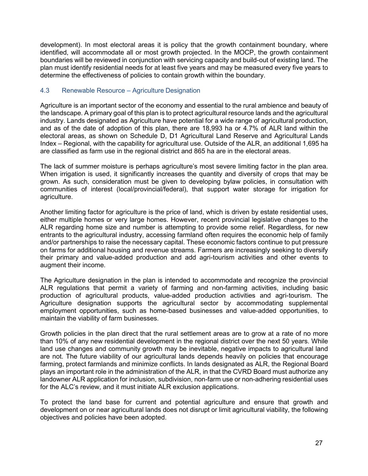development). In most electoral areas it is policy that the growth containment boundary, where identified, will accommodate all or most growth projected. In the MOCP, the growth containment boundaries will be reviewed in conjunction with servicing capacity and build-out of existing land. The plan must identify residential needs for at least five years and may be measured every five years to determine the effectiveness of policies to contain growth within the boundary.

#### <span id="page-34-0"></span>4.3 Renewable Resource – Agriculture Designation

Agriculture is an important sector of the economy and essential to the rural ambience and beauty of the landscape. A primary goal of this plan is to protect agricultural resource lands and the agricultural industry. Lands designated as Agriculture have potential for a wide range of agricultural production, and as of the date of adoption of this plan, there are 18,993 ha or 4.7% of ALR land within the electoral areas, as shown on Schedule D, D1 Agricultural Land Reserve and Agricultural Lands Index – Regional, with the capability for agricultural use. Outside of the ALR, an additional 1,695 ha are classified as farm use in the regional district and 865 ha are in the electoral areas.

The lack of summer moisture is perhaps agriculture's most severe limiting factor in the plan area. When irrigation is used, it significantly increases the quantity and diversity of crops that may be grown. As such, consideration must be given to developing bylaw policies, in consultation with communities of interest (local/provincial/federal), that support water storage for irrigation for agriculture.

Another limiting factor for agriculture is the price of land, which is driven by estate residential uses, either multiple homes or very large homes. However, recent provincial legislative changes to the ALR regarding home size and number is attempting to provide some relief. Regardless, for new entrants to the agricultural industry, accessing farmland often requires the economic help of family and/or partnerships to raise the necessary capital. These economic factors continue to put pressure on farms for additional housing and revenue streams. Farmers are increasingly seeking to diversify their primary and value-added production and add agri-tourism activities and other events to augment their income.

The Agriculture designation in the plan is intended to accommodate and recognize the provincial ALR regulations that permit a variety of farming and non-farming activities, including basic production of agricultural products, value-added production activities and agri-tourism. The Agriculture designation supports the agricultural sector by accommodating supplemental employment opportunities, such as home-based businesses and value-added opportunities, to maintain the viability of farm businesses.

Growth policies in the plan direct that the rural settlement areas are to grow at a rate of no more than 10% of any new residential development in the regional district over the next 50 years. While land use changes and community growth may be inevitable, negative impacts to agricultural land are not. The future viability of our agricultural lands depends heavily on policies that encourage farming, protect farmlands and minimize conflicts. In lands designated as ALR, the Regional Board plays an important role in the administration of the ALR, in that the CVRD Board must authorize any landowner ALR application for inclusion, subdivision, non-farm use or non-adhering residential uses for the ALC's review, and it must initiate ALR exclusion applications.

To protect the land base for current and potential agriculture and ensure that growth and development on or near agricultural lands does not disrupt or limit agricultural viability, the following objectives and policies have been adopted.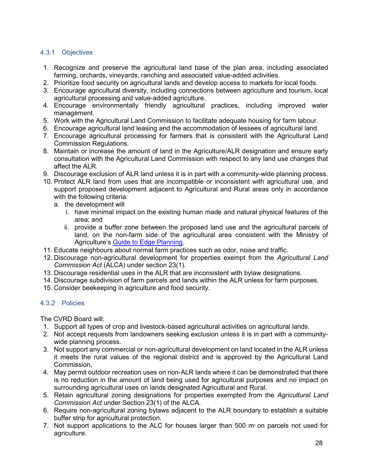#### 4.3.1 Objectives

- 1. Recognize and preserve the agricultural land base of the plan area, including associated farming, orchards, vineyards, ranching and associated value-added activities.
- 2. Prioritize food security on agricultural lands and develop access to markets for local foods.
- 3. Encourage agricultural diversity, including connections between agriculture and tourism, local agricultural processing and value-added agriculture.
- 4. Encourage environmentally friendly agricultural practices, including improved water management.
- 5. Work with the Agricultural Land Commission to facilitate adequate housing for farm labour.
- 6. Encourage agricultural land leasing and the accommodation of lessees of agricultural land.
- 7. Encourage agricultural processing for farmers that is consistent with the Agricultural Land Commission Regulations.
- 8. Maintain or increase the amount of land in the Agriculture/ALR designation and ensure early consultation with the Agricultural Land Commission with respect to any land use changes that affect the ALR.
- 9. Discourage exclusion of ALR land unless it is in part with a community-wide planning process.
- 10. Protect ALR land from uses that are incompatible or inconsistent with agricultural use, and support proposed development adjacent to Agricultural and Rural areas only in accordance with the following criteria:
	- a. the development will
		- i. have minimal impact on the existing human made and natural physical features of the area; and
		- ii. provide a buffer zone between the proposed land use and the agricultural parcels of land, on the non-farm side of the agricultural area consistent with the Ministry of Agriculture's [Guide to Edge Planning.](https://www2.gov.bc.ca/assets/gov/farming-natural-resources-and-industry/agriculture-and-seafood/agricultural-land-and-environment/strengthening-farming/planning-for-agriculture/823100-3_edge_guide_2015.pdf)
- 11. Educate neighbours about normal farm practices such as odor, noise and traffic.
- 12. Discourage non-agricultural development for properties exempt from the *Agricultural Land Commission Act* (ALCA) under section 23(1).
- 13. Discourage residential uses in the ALR that are inconsistent with bylaw designations.
- 14. Discourage subdivision of farm parcels and lands within the ALR unless for farm purposes.
- 15. Consider beekeeping in agriculture and food security.

#### 4.3.2 Policies

The CVRD Board will:

- 1. Support all types of crop and livestock-based agricultural activities on agricultural lands.
- 2. Not accept requests from landowners seeking exclusion unless it is in part with a communitywide planning process.
- 3. Not support any commercial or non-agricultural development on land located in the ALR unless it meets the rural values of the regional district and is approved by the Agricultural Land Commission.
- 4. May permit outdoor recreation uses on non-ALR lands where it can be demonstrated that there is no reduction in the amount of land being used for agricultural purposes and no impact on surrounding agricultural uses on lands designated Agricultural and Rural.
- 5. Retain agricultural zoning designations for properties exempted from the *Agricultural Land Commission Act* under Section 23(1) of the ALCA.
- 6. Require non-agricultural zoning bylaws adjacent to the ALR boundary to establish a suitable buffer strip for agricultural protection.
- 7. Not support applications to the ALC for houses larger than 500  $m<sub>2</sub>$  on parcels not used for agriculture.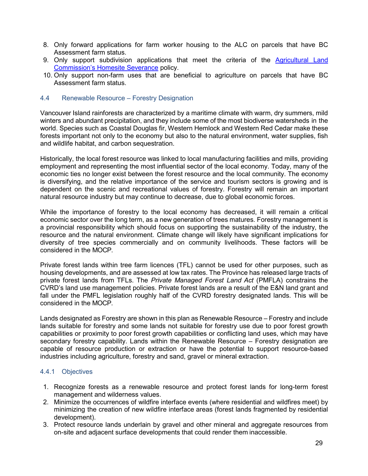- 8. Only forward applications for farm worker housing to the ALC on parcels that have BC Assessment farm status.
- 9. Only support subdivision applications that meet the criteria of the Agricultural Land [Commission's Homesite Severance](https://www.alc.gov.bc.ca/assets/alc/assets/legislation-and-regulation/policies/alc_-_policy_l-11_-_homesite_severance_on_alr_lands.pdf) policy.
- 10. Only support non-farm uses that are beneficial to agriculture on parcels that have BC Assessment farm status.

#### <span id="page-36-0"></span>4.4 Renewable Resource – Forestry Designation

Vancouver Island rainforests are characterized by a maritime climate with warm, dry summers, mild winters and abundant precipitation, and they include some of the most biodiverse watersheds in the world. Species such as Coastal Douglas fir, Western Hemlock and Western Red Cedar make these forests important not only to the economy but also to the natural environment, water supplies, fish and wildlife habitat, and carbon sequestration.

Historically, the local forest resource was linked to local manufacturing facilities and mills, providing employment and representing the most influential sector of the local economy. Today, many of the economic ties no longer exist between the forest resource and the local community. The economy is diversifying, and the relative importance of the service and tourism sectors is growing and is dependent on the scenic and recreational values of forestry. Forestry will remain an important natural resource industry but may continue to decrease, due to global economic forces.

While the importance of forestry to the local economy has decreased, it will remain a critical economic sector over the long term, as a new generation of trees matures. Forestry management is a provincial responsibility which should focus on supporting the sustainability of the industry, the resource and the natural environment. Climate change will likely have significant implications for diversity of tree species commercially and on community livelihoods. These factors will be considered in the MOCP.

Private forest lands within tree farm licences (TFL) cannot be used for other purposes, such as housing developments, and are assessed at low tax rates. The Province has released large tracts of private forest lands from TFLs. The *Private Managed Forest Land Act* (PMFLA) constrains the CVRD's land use management policies. Private forest lands are a result of the E&N land grant and fall under the PMFL legislation roughly half of the CVRD forestry designated lands. This will be considered in the MOCP.

Lands designated as Forestry are shown in this plan as Renewable Resource – Forestry and include lands suitable for forestry and some lands not suitable for forestry use due to poor forest growth capabilities or proximity to poor forest growth capabilities or conflicting land uses, which may have secondary forestry capability. Lands within the Renewable Resource – Forestry designation are capable of resource production or extraction or have the potential to support resource-based industries including agriculture, forestry and sand, gravel or mineral extraction.

#### 4.4.1 Objectives

- 1. Recognize forests as a renewable resource and protect forest lands for long-term forest management and wilderness values.
- 2. Minimize the occurrences of wildfire interface events (where residential and wildfires meet) by minimizing the creation of new wildfire interface areas (forest lands fragmented by residential development).
- 3. Protect resource lands underlain by gravel and other mineral and aggregate resources from on-site and adjacent surface developments that could render them inaccessible.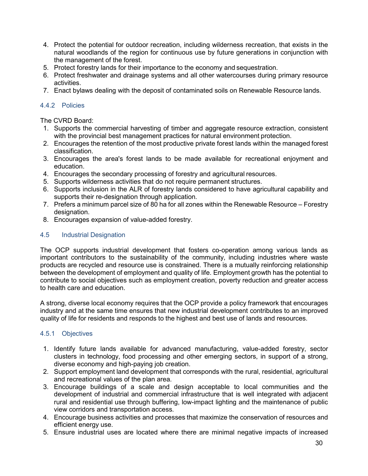- 4. Protect the potential for outdoor recreation, including wilderness recreation, that exists in the natural woodlands of the region for continuous use by future generations in conjunction with the management of the forest.
- 5. Protect forestry lands for their importance to the economy and sequestration.
- 6. Protect freshwater and drainage systems and all other watercourses during primary resource activities.
- 7. Enact bylaws dealing with the deposit of contaminated soils on Renewable Resource lands.

#### 4.4.2 Policies

The CVRD Board:

- 1. Supports the commercial harvesting of timber and aggregate resource extraction, consistent with the provincial best management practices for natural environment protection.
- 2. Encourages the retention of the most productive private forest lands within the managed forest classification.
- 3. Encourages the area's forest lands to be made available for recreational enjoyment and education.
- 4. Encourages the secondary processing of forestry and agricultural resources.
- 5. Supports wilderness activities that do not require permanent structures.
- 6. Supports inclusion in the ALR of forestry lands considered to have agricultural capability and supports their re-designation through application.
- 7. Prefers a minimum parcel size of 80 ha for all zones within the Renewable Resource Forestry designation.
- 8. Encourages expansion of value-added forestry.

#### <span id="page-37-0"></span>4.5 Industrial Designation

The OCP supports industrial development that fosters co-operation among various lands as important contributors to the sustainability of the community, including industries where waste products are recycled and resource use is constrained. There is a mutually reinforcing relationship between the development of employment and quality of life. Employment growth has the potential to contribute to social objectives such as employment creation, poverty reduction and greater access to health care and education.

A strong, diverse local economy requires that the OCP provide a policy framework that encourages industry and at the same time ensures that new industrial development contributes to an improved quality of life for residents and responds to the highest and best use of lands and resources.

#### 4.5.1 Objectives

- 1. Identify future lands available for advanced manufacturing, value-added forestry, sector clusters in technology, food processing and other emerging sectors, in support of a strong, diverse economy and high-paying job creation.
- 2. Support employment land development that corresponds with the rural, residential, agricultural and recreational values of the plan area.
- 3. Encourage buildings of a scale and design acceptable to local communities and the development of industrial and commercial infrastructure that is well integrated with adjacent rural and residential use through buffering, low-impact lighting and the maintenance of public view corridors and transportation access.
- 4. Encourage business activities and processes that maximize the conservation of resources and efficient energy use.
- 5. Ensure industrial uses are located where there are minimal negative impacts of increased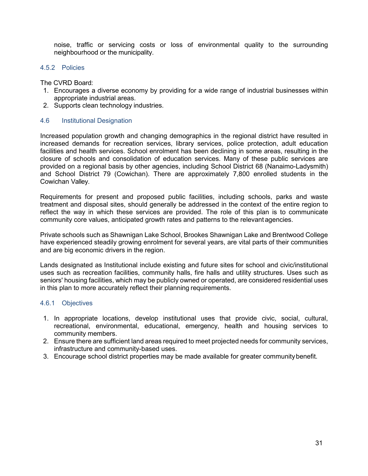noise, traffic or servicing costs or loss of environmental quality to the surrounding neighbourhood or the municipality.

#### 4.5.2 Policies

The CVRD Board:

- 1. Encourages a diverse economy by providing for a wide range of industrial businesses within appropriate industrial areas.
- 2. Supports clean technology industries.

#### <span id="page-38-0"></span>4.6 Institutional Designation

Increased population growth and changing demographics in the regional district have resulted in increased demands for recreation services, library services, police protection, adult education facilities and health services. School enrolment has been declining in some areas, resulting in the closure of schools and consolidation of education services. Many of these public services are provided on a regional basis by other agencies, including School District 68 (Nanaimo-Ladysmith) and School District 79 (Cowichan). There are approximately 7,800 enrolled students in the Cowichan Valley.

Requirements for present and proposed public facilities, including schools, parks and waste treatment and disposal sites, should generally be addressed in the context of the entire region to reflect the way in which these services are provided. The role of this plan is to communicate community core values, anticipated growth rates and patterns to the relevant agencies.

Private schools such as Shawnigan Lake School, Brookes Shawnigan Lake and Brentwood College have experienced steadily growing enrolment for several years, are vital parts of their communities and are big economic drivers in the region.

Lands designated as Institutional include existing and future sites for school and civic/institutional uses such as recreation facilities, community halls, fire halls and utility structures. Uses such as seniors' housing facilities, which may be publicly owned or operated, are considered residential uses in this plan to more accurately reflect their planning requirements.

#### 4.6.1 Objectives

- 1. In appropriate locations, develop institutional uses that provide civic, social, cultural, recreational, environmental, educational, emergency, health and housing services to community members.
- 2. Ensure there are sufficient land areas required to meet projected needs for community services, infrastructure and community-based uses.
- 3. Encourage school district properties may be made available for greater communitybenefit.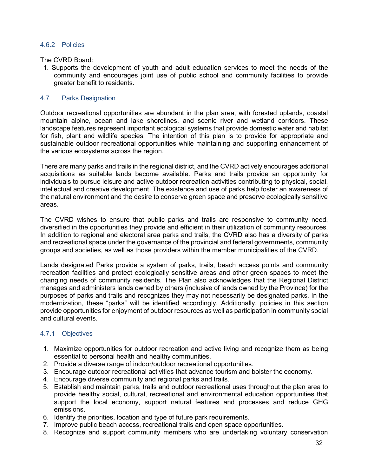#### 4.6.2 Policies

The CVRD Board:

1. Supports the development of youth and adult education services to meet the needs of the community and encourages joint use of public school and community facilities to provide greater benefit to residents.

#### <span id="page-39-0"></span>4.7 Parks Designation

Outdoor recreational opportunities are abundant in the plan area, with forested uplands, coastal mountain alpine, ocean and lake shorelines, and scenic river and wetland corridors. These landscape features represent important ecological systems that provide domestic water and habitat for fish, plant and wildlife species. The intention of this plan is to provide for appropriate and sustainable outdoor recreational opportunities while maintaining and supporting enhancement of the various ecosystems across the region.

There are many parks and trails in the regional district, and the CVRD actively encourages additional acquisitions as suitable lands become available. Parks and trails provide an opportunity for individuals to pursue leisure and active outdoor recreation activities contributing to physical, social, intellectual and creative development. The existence and use of parks help foster an awareness of the natural environment and the desire to conserve green space and preserve ecologically sensitive areas.

The CVRD wishes to ensure that public parks and trails are responsive to community need, diversified in the opportunities they provide and efficient in their utilization of community resources. In addition to regional and electoral area parks and trails, the CVRD also has a diversity of parks and recreational space under the governance of the provincial and federal governments, community groups and societies, as well as those providers within the member municipalities of the CVRD.

Lands designated Parks provide a system of parks, trails, beach access points and community recreation facilities and protect ecologically sensitive areas and other green spaces to meet the changing needs of community residents. The Plan also acknowledges that the Regional District manages and administers lands owned by others (inclusive of lands owned by the Province) for the purposes of parks and trails and recognizes they may not necessarily be designated parks. In the modernization, these "parks" will be identified accordingly. Additionally, policies in this section provide opportunities for enjoyment of outdoor resources as well as participation in community social and cultural events.

#### 4.7.1 Objectives

- 1. Maximize opportunities for outdoor recreation and active living and recognize them as being essential to personal health and healthy communities.
- 2. Provide a diverse range of indoor/outdoor recreational opportunities.
- 3. Encourage outdoor recreational activities that advance tourism and bolster the economy.
- 4. Encourage diverse community and regional parks and trails.
- 5. Establish and maintain parks, trails and outdoor recreational uses throughout the plan area to provide healthy social, cultural, recreational and environmental education opportunities that support the local economy, support natural features and processes and reduce GHG emissions.
- 6. Identify the priorities, location and type of future park requirements.
- 7. Improve public beach access, recreational trails and open space opportunities.
- 8. Recognize and support community members who are undertaking voluntary conservation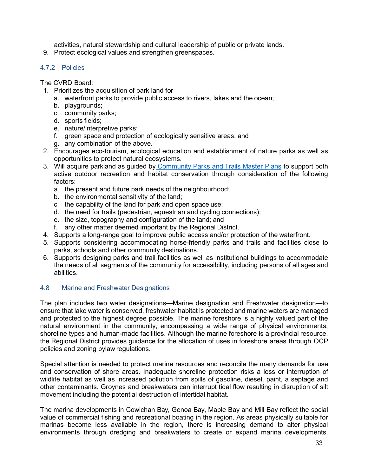activities, natural stewardship and cultural leadership of public or private lands.

9. Protect ecological values and strengthen greenspaces.

#### 4.7.2 Policies

The CVRD Board:

- 1. Prioritizes the acquisition of park land for
	- a. waterfront parks to provide public access to rivers, lakes and the ocean;
	- b. playgrounds;
	- c. community parks;
	- d. sports fields;
	- e. nature/interpretive parks;
	- f. green space and protection of ecologically sensitive areas; and
	- g. any combination of the above.
- 2. Encourages eco-tourism, ecological education and establishment of nature parks as well as opportunities to protect natural ecosystems.
- 3. Will acquire parkland as guided by Community Parks and [Trails Master](https://www.cvrd.bc.ca/303/Community-Parks-and-Trails-Master-Plans) Plans to support both active outdoor recreation and habitat conservation through consideration of the following factors:
	- a. the present and future park needs of the neighbourhood;
	- b. the environmental sensitivity of the land;
	- c. the capability of the land for park and open space use;
	- d. the need for trails (pedestrian, equestrian and cycling connections);
	- e. the size, topography and configuration of the land; and
	- f. any other matter deemed important by the Regional District.
- 4. Supports a long-range goal to improve public access and/or protection of the waterfront.
- 5. Supports considering accommodating horse-friendly parks and trails and facilities close to parks, schools and other community destinations.
- 6. Supports designing parks and trail facilities as well as institutional buildings to accommodate the needs of all segments of the community for accessibility, including persons of all ages and abilities.

#### <span id="page-40-0"></span>4.8 Marine and Freshwater Designations

The plan includes two water designations—Marine designation and Freshwater designation—to ensure that lake water is conserved, freshwater habitat is protected and marine waters are managed and protected to the highest degree possible. The marine foreshore is a highly valued part of the natural environment in the community, encompassing a wide range of physical environments, shoreline types and human-made facilities. Although the marine foreshore is a provincial resource, the Regional District provides guidance for the allocation of uses in foreshore areas through OCP policies and zoning bylaw regulations.

Special attention is needed to protect marine resources and reconcile the many demands for use and conservation of shore areas. Inadequate shoreline protection risks a loss or interruption of wildlife habitat as well as increased pollution from spills of gasoline, diesel, paint, a septage and other contaminants. Groynes and breakwaters can interrupt tidal flow resulting in disruption of silt movement including the potential destruction of intertidal habitat.

The marina developments in Cowichan Bay, Genoa Bay, Maple Bay and Mill Bay reflect the social value of commercial fishing and recreational boating in the region. As areas physically suitable for marinas become less available in the region, there is increasing demand to alter physical environments through dredging and breakwaters to create or expand marina developments.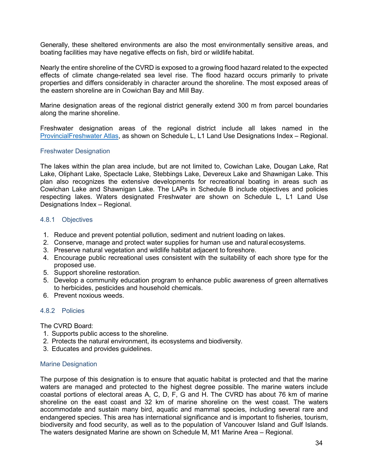Generally, these sheltered environments are also the most environmentally sensitive areas, and boating facilities may have negative effects on fish, bird or wildlife habitat.

Nearly the entire shoreline of the CVRD is exposed to a growing flood hazard related to the expected effects of climate change-related sea level rise. The flood hazard occurs primarily to private properties and differs considerably in character around the shoreline. The most exposed areas of the eastern shoreline are in Cowichan Bay and Mill Bay.

Marine designation areas of the regional district generally extend 300 m from parcel boundaries along the marine shoreline.

Freshwater designation areas of the regional district include all lakes named in the [ProvincialFreshwater Atlas,](https://www2.gov.bc.ca/gov/content/data/geographic-data-services/topographic-data/freshwater) as shown on Schedule L, L1 Land Use Designations Index – Regional.

#### Freshwater Designation

The lakes within the plan area include, but are not limited to, Cowichan Lake, Dougan Lake, Rat Lake, Oliphant Lake, Spectacle Lake, Stebbings Lake, Devereux Lake and Shawnigan Lake. This plan also recognizes the extensive developments for recreational boating in areas such as Cowichan Lake and Shawnigan Lake. The LAPs in Schedule B include objectives and policies respecting lakes. Waters designated Freshwater are shown on Schedule L, L1 Land Use Designations Index – Regional.

#### 4.8.1 Objectives

- 1. Reduce and prevent potential pollution, sediment and nutrient loading on lakes.
- 2. Conserve, manage and protect water supplies for human use and natural ecosystems.
- 3. Preserve natural vegetation and wildlife habitat adjacent to foreshore.
- 4. Encourage public recreational uses consistent with the suitability of each shore type for the proposed use.
- 5. Support shoreline restoration.
- 5. Develop a community education program to enhance public awareness of green alternatives to herbicides, pesticides and household chemicals.
- 6. Prevent noxious weeds.

#### 4.8.2 Policies

The CVRD Board:

- 1. Supports public access to the shoreline.
- 2. Protects the natural environment, its ecosystems and biodiversity.
- 3. Educates and provides guidelines.

#### Marine Designation

The purpose of this designation is to ensure that aquatic habitat is protected and that the marine waters are managed and protected to the highest degree possible. The marine waters include coastal portions of electoral areas A, C, D, F, G and H. The CVRD has about 76 km of marine shoreline on the east coast and 32 km of marine shoreline on the west coast. The waters accommodate and sustain many bird, aquatic and mammal species, including several rare and endangered species. This area has international significance and is important to fisheries, tourism, biodiversity and food security, as well as to the population of Vancouver Island and Gulf Islands. The waters designated Marine are shown on Schedule M, M1 Marine Area – Regional.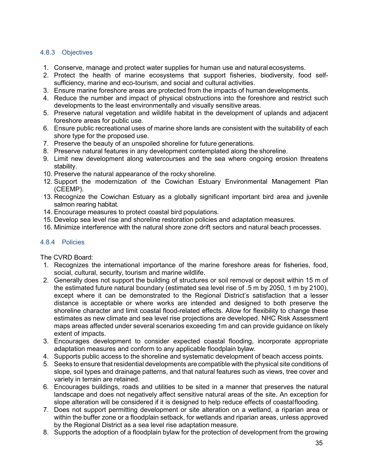#### 4.8.3 Objectives

- 1. Conserve, manage and protect water supplies for human use and natural ecosystems.
- 2. Protect the health of marine ecosystems that support fisheries, biodiversity, food selfsufficiency, marine and eco-tourism, and social and cultural activities.
- 3. Ensure marine foreshore areas are protected from the impacts of humandevelopments.
- 4. Reduce the number and impact of physical obstructions into the foreshore and restrict such developments to the least environmentally and visually sensitive areas.
- 5. Preserve natural vegetation and wildlife habitat in the development of uplands and adjacent foreshore areas for public use.
- 6. Ensure public recreational uses of marine shore lands are consistent with the suitability of each shore type for the proposed use.
- 7. Preserve the beauty of an unspoiled shoreline for future generations.
- 8. Preserve natural features in any development contemplated along the shoreline.
- 9. Limit new development along watercourses and the sea where ongoing erosion threatens stability.
- 10. Preserve the natural appearance of the rocky shoreline.
- 12. Support the modernization of the Cowichan Estuary Environmental Management Plan (CEEMP).
- 13. Recognize the Cowichan Estuary as a globally significant important bird area and juvenile salmon rearing habitat.
- 14. Encourage measures to protect coastal bird populations.
- 15. Develop sea level rise and shoreline restoration policies and adaptation measures.
- 16. Minimize interference with the natural shore zone drift sectors and natural beach processes.

#### 4.8.4 Policies

#### The CVRD Board:

- 1. Recognizes the international importance of the marine foreshore areas for fisheries, food, social, cultural, security, tourism and marine wildlife.
- 2. Generally does not support the building of structures or soil removal or deposit within 15 m of the estimated future natural boundary (estimated sea level rise of .5 m by 2050, 1 m by 2100), except where it can be demonstrated to the Regional District's satisfaction that a lesser distance is acceptable or where works are intended and designed to both preserve the shoreline character and limit coastal flood-related effects. Allow for flexibility to change these estimates as new climate and sea level rise projections are developed. NHC Risk Assessment maps areas affected under several scenarios exceeding 1m and can provide guidance on likely extent of impacts.
- 3. Encourages development to consider expected coastal flooding, incorporate appropriate adaptation measures and conform to any applicable floodplain bylaw.
- 4. Supports public access to the shoreline and systematic development of beach access points.
- 5. Seeks to ensure that residential developments are compatible with the physical site conditions of slope, soil types and drainage patterns, and that natural features such as views, tree cover and variety in terrain are retained.
- 6. Encourages buildings, roads and utilities to be sited in a manner that preserves the natural landscape and does not negatively affect sensitive natural areas of the site. An exception for slope alteration will be considered if it is designed to help reduce effects of coastalflooding.
- 7. Does not support permitting development or site alteration on a wetland, a riparian area or within the buffer zone or a floodplain setback, for wetlands and riparian areas, unless approved by the Regional District as a sea level rise adaptation measure.
- 8. Supports the adoption of a floodplain bylaw for the protection of development from the growing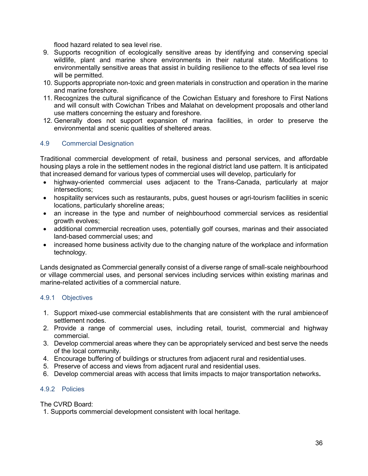flood hazard related to sea level rise.

- 9. Supports recognition of ecologically sensitive areas by identifying and conserving special wildlife, plant and marine shore environments in their natural state. Modifications to environmentally sensitive areas that assist in building resilience to the effects of sea level rise will be permitted.
- 10. Supports appropriate non-toxic and green materials in construction and operation in the marine and marine foreshore.
- 11. Recognizes the cultural significance of the Cowichan Estuary and foreshore to First Nations and will consult with Cowichan Tribes and Malahat on development proposals and otherland use matters concerning the estuary and foreshore.
- 12. Generally does not support expansion of marina facilities, in order to preserve the environmental and scenic qualities of sheltered areas.

#### <span id="page-43-0"></span>4.9 Commercial Designation

Traditional commercial development of retail, business and personal services, and affordable housing plays a role in the settlement nodes in the regional district land use pattern. It is anticipated that increased demand for various types of commercial uses will develop, particularly for

- highway-oriented commercial uses adjacent to the Trans-Canada, particularly at major intersections;
- hospitality services such as restaurants, pubs, quest houses or agri-tourism facilities in scenic locations, particularly shoreline areas;
- an increase in the type and number of neighbourhood commercial services as residential growth evolves;
- additional commercial recreation uses, potentially golf courses, marinas and their associated land-based commercial uses; and
- increased home business activity due to the changing nature of the workplace and information technology.

Lands designated as Commercial generally consist of a diverse range of small-scale neighbourhood or village commercial uses*,* and personal services including services within existing marinas and marine-related activities of a commercial nature.

#### 4.9.1 Objectives

- 1. Support mixed-use commercial establishments that are consistent with the rural ambienceof settlement nodes.
- 2. Provide a range of commercial uses, including retail, tourist, commercial and highway commercial.
- 3. Develop commercial areas where they can be appropriately serviced and best serve the needs of the local community.
- 4. Encourage buffering of buildings or structures from adjacent rural and residential uses.
- 5. Preserve of access and views from adjacent rural and residential uses.
- 6. Develop commercial areas with access that limits impacts to major transportation networks**.**

#### 4.9.2 Policies

The CVRD Board:

1. Supports commercial development consistent with local heritage.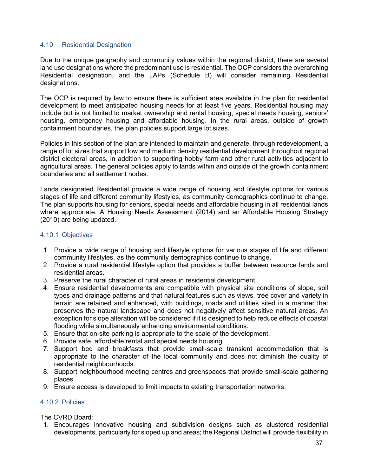#### <span id="page-44-0"></span>4.10 Residential Designation

Due to the unique geography and community values within the regional district, there are several land use designations where the predominant use is residential. The OCP considers the overarching Residential designation, and the LAPs (Schedule B) will consider remaining Residential designations.

The OCP is required by law to ensure there is sufficient area available in the plan for residential development to meet anticipated housing needs for at least five years. Residential housing may include but is not limited to market ownership and rental housing, special needs housing, seniors' housing, emergency housing and affordable housing. In the rural areas, outside of growth containment boundaries, the plan policies support large lot sizes.

Policies in this section of the plan are intended to maintain and generate, through redevelopment, a range of lot sizes that support low and medium density residential development throughout regional district electoral areas, in addition to supporting hobby farm and other rural activities adjacent to agricultural areas. The general policies apply to lands within and outside of the growth containment boundaries and all settlement nodes.

Lands designated Residential provide a wide range of housing and lifestyle options for various stages of life and different community lifestyles, as community demographics continue to change. The plan supports housing for seniors, special needs and affordable housing in all residential lands where appropriate. A Housing Needs Assessment (2014) and an Affordable Housing Strategy (2010) are being updated.

#### 4.10.1 Objectives

- 1. Provide a wide range of housing and lifestyle options for various stages of life and different community lifestyles, as the community demographics continue to change.
- 2. Provide a rural residential lifestyle option that provides a buffer between resource lands and residential areas.
- 3. Preserve the rural character of rural areas in residential development.
- 4. Ensure residential developments are compatible with physical site conditions of slope, soil types and drainage patterns and that natural features such as views, tree cover and variety in terrain are retained and enhanced, with buildings, roads and utilities sited in a manner that preserves the natural landscape and does not negatively affect sensitive natural areas. An exception for slope alteration will be considered if it is designed to help reduce effects of coastal flooding while simultaneously enhancing environmental conditions.
- 5. Ensure that on-site parking is appropriate to the scale of the development.
- 6. Provide safe, affordable rental and special needs housing.
- 7. Support bed and breakfasts that provide small-scale transient accommodation that is appropriate to the character of the local community and does not diminish the quality of residential neighbourhoods.
- 8. Support neighbourhood meeting centres and greenspaces that provide small-scale gathering places.
- 9. Ensure access is developed to limit impacts to existing transportation networks.

#### 4.10.2 Policies

#### The CVRD Board:

1. Encourages innovative housing and subdivision designs such as clustered residential developments, particularly for sloped upland areas; the Regional District will provide flexibility in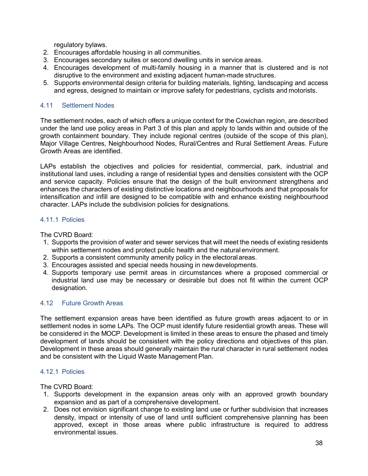regulatory bylaws.

- 2. Encourages affordable housing in all communities.
- 3. Encourages secondary suites or second dwelling units in service areas.
- 4. Encourages development of multi-family housing in a manner that is clustered and is not disruptive to the environment and existing adjacent human-made structures.
- 5. Supports environmental design criteria for building materials, lighting, landscaping and access and egress, designed to maintain or improve safety for pedestrians, cyclists and motorists.

#### <span id="page-45-0"></span>4.11 Settlement Nodes

The settlement nodes, each of which offers a unique context for the Cowichan region, are described under the land use policy areas in Part 3 of this plan and apply to lands within and outside of the growth containment boundary. They include regional centres (outside of the scope of this plan), Major Village Centres, Neighbourhood Nodes, Rural/Centres and Rural Settlement Areas. Future Growth Areas are identified.

LAPs establish the objectives and policies for residential, commercial, park, industrial and institutional land uses, including a range of residential types and densities consistent with the OCP and service capacity. Policies ensure that the design of the built environment strengthens and enhances the characters of existing distinctive locations and neighbourhoods and that proposals for intensification and infill are designed to be compatible with and enhance existing neighbourhood character. LAPs include the subdivision policies for designations.

#### 4.11.1 Policies

The CVRD Board:

- 1. Supports the provision of water and sewer services that will meet the needs of existing residents within settlement nodes and protect public health and the natural environment.
- 2. Supports a consistent community amenity policy in the electoralareas.
- 3. Encourages assisted and special needs housing in newdevelopments.
- 4. Supports temporary use permit areas in circumstances where a proposed commercial or industrial land use may be necessary or desirable but does not fit within the current OCP designation.

#### <span id="page-45-1"></span>4.12 Future Growth Areas

The settlement expansion areas have been identified as future growth areas adjacent to or in settlement nodes in some LAPs. The OCP must identify future residential growth areas. These will be considered in the MOCP. Development is limited in these areas to ensure the phased and timely development of lands should be consistent with the policy directions and objectives of this plan. Development in these areas should generally maintain the rural character in rural settlement nodes and be consistent with the Liquid Waste Management Plan.

#### 4.12.1 Policies

The CVRD Board:

- 1. Supports development in the expansion areas only with an approved growth boundary expansion and as part of a comprehensive development.
- 2. Does not envision significant change to existing land use or further subdivision that increases density, impact or intensity of use of land until sufficient comprehensive planning has been approved, except in those areas where public infrastructure is required to address environmental issues.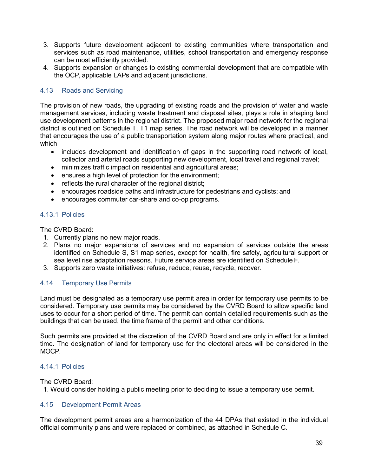- 3. Supports future development adjacent to existing communities where transportation and services such as road maintenance, utilities, school transportation and emergency response can be most efficiently provided.
- 4. Supports expansion or changes to existing commercial development that are compatible with the OCP, applicable LAPs and adjacent jurisdictions.

#### <span id="page-46-0"></span>4.13 Roads and Servicing

The provision of new roads, the upgrading of existing roads and the provision of water and waste management services, including waste treatment and disposal sites, plays a role in shaping land use development patterns in the regional district. The proposed major road network for the regional district is outlined on Schedule T, T1 map series. The road network will be developed in a manner that encourages the use of a public transportation system along major routes where practical, and which

- includes development and identification of gaps in the supporting road network of local, collector and arterial roads supporting new development, local travel and regional travel;
- minimizes traffic impact on residential and agricultural areas;
- ensures a high level of protection for the environment;
- reflects the rural character of the regional district;
- encourages roadside paths and infrastructure for pedestrians and cyclists; and
- encourages commuter car-share and co-op programs.

#### 4.13.1 Policies

The CVRD Board:

- 1. Currently plans no new major roads.
- 2. Plans no major expansions of services and no expansion of services outside the areas identified on Schedule S, S1 map series, except for health, fire safety, agricultural support or sea level rise adaptation reasons. Future service areas are identified on Schedule F.
- 3. Supports zero waste initiatives: refuse, reduce, reuse, recycle, recover.

#### <span id="page-46-1"></span>4.14 Temporary Use Permits

Land must be designated as a temporary use permit area in order for temporary use permits to be considered. Temporary use permits may be considered by the CVRD Board to allow specific land uses to occur for a short period of time. The permit can contain detailed requirements such as the buildings that can be used, the time frame of the permit and other conditions.

Such permits are provided at the discretion of the CVRD Board and are only in effect for a limited time. The designation of land for temporary use for the electoral areas will be considered in the MOCP.

#### 4.14.1 Policies

The CVRD Board:

1. Would consider holding a public meeting prior to deciding to issue a temporary use permit.

#### <span id="page-46-2"></span>4.15 Development Permit Areas

The development permit areas are a harmonization of the 44 DPAs that existed in the individual official community plans and were replaced or combined, as attached in Schedule C.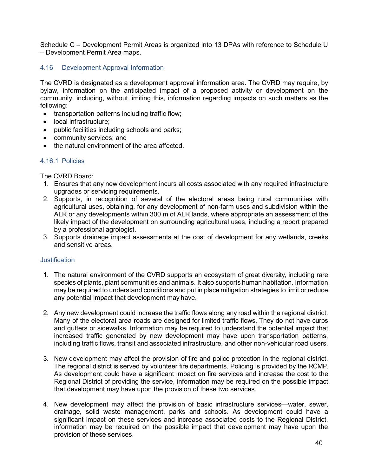Schedule C – Development Permit Areas is organized into 13 DPAs with reference to Schedule U – Development Permit Area maps.

#### <span id="page-47-0"></span>4.16 Development Approval Information

The CVRD is designated as a development approval information area. The CVRD may require, by bylaw, information on the anticipated impact of a proposed activity or development on the community, including, without limiting this, information regarding impacts on such matters as the following:

- transportation patterns including traffic flow;
- local infrastructure;
- public facilities including schools and parks;
- community services; and
- the natural environment of the area affected.

#### 4.16.1 Policies

The CVRD Board:

- 1. Ensures that any new development incurs all costs associated with any required infrastructure upgrades or servicing requirements.
- 2. Supports, in recognition of several of the electoral areas being rural communities with agricultural uses, obtaining, for any development of non-farm uses and subdivision within the ALR or any developments within 300 m of ALR lands, where appropriate an assessment of the likely impact of the development on surrounding agricultural uses, including a report prepared by a professional agrologist.
- 3. Supports drainage impact assessments at the cost of development for any wetlands, creeks and sensitive areas.

#### **Justification**

- 1. The natural environment of the CVRD supports an ecosystem of great diversity, including rare species of plants, plant communities and animals. It also supports human habitation. Information may be required to understand conditions and put in place mitigation strategies to limit or reduce any potential impact that development may have.
- 2. Any new development could increase the traffic flows along any road within the regional district. Many of the electoral area roads are designed for limited traffic flows. They do not have curbs and gutters or sidewalks. Information may be required to understand the potential impact that increased traffic generated by new development may have upon transportation patterns, including traffic flows, transit and associated infrastructure, and other non-vehicular road users.
- 3. New development may affect the provision of fire and police protection in the regional district. The regional district is served by volunteer fire departments. Policing is provided by the RCMP. As development could have a significant impact on fire services and increase the cost to the Regional District of providing the service, information may be required on the possible impact that development may have upon the provision of these two services.
- 4. New development may affect the provision of basic infrastructure services—water, sewer, drainage, solid waste management, parks and schools. As development could have a significant impact on these services and increase associated costs to the Regional District, information may be required on the possible impact that development may have upon the provision of these services.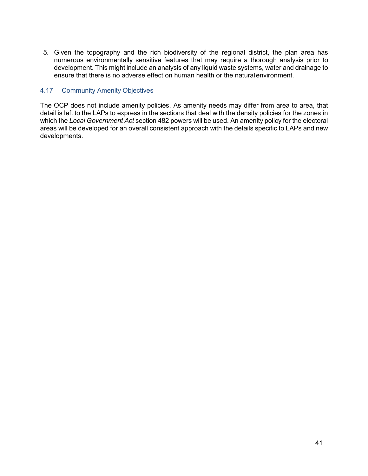5. Given the topography and the rich biodiversity of the regional district, the plan area has numerous environmentally sensitive features that may require a thorough analysis prior to development. This might include an analysis of any liquid waste systems, water and drainage to ensure that there is no adverse effect on human health or the naturalenvironment.

#### <span id="page-48-0"></span>4.17 Community Amenity Objectives

The OCP does not include amenity policies. As amenity needs may differ from area to area, that detail is left to the LAPs to express in the sections that deal with the density policies for the zones in which the *Local Government Act* section 482 powers will be used. An amenity policy for the electoral areas will be developed for an overall consistent approach with the details specific to LAPs and new developments.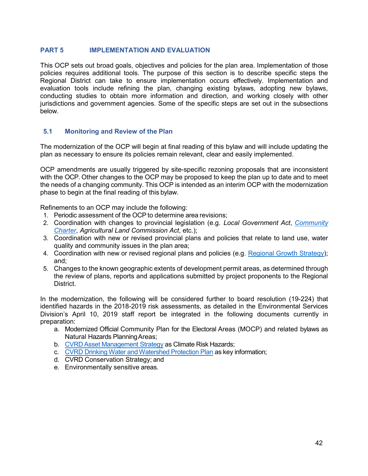#### <span id="page-49-0"></span>**PART 5 IMPLEMENTATION AND EVALUATION**

This OCP sets out broad goals, objectives and policies for the plan area. Implementation of those policies requires additional tools. The purpose of this section is to describe specific steps the Regional District can take to ensure implementation occurs effectively. Implementation and evaluation tools include refining the plan, changing existing bylaws, adopting new bylaws, conducting studies to obtain more information and direction, and working closely with other jurisdictions and government agencies. Some of the specific steps are set out in the subsections below.

#### <span id="page-49-1"></span>**5.1 Monitoring and Review of the Plan**

The modernization of the OCP will begin at final reading of this bylaw and will include updating the plan as necessary to ensure its policies remain relevant, clear and easily implemented.

OCP amendments are usually triggered by site-specific rezoning proposals that are inconsistent with the OCP. Other changes to the OCP may be proposed to keep the plan up to date and to meet the needs of a changing community. This OCP is intended as an interim OCP with the modernization phase to begin at the final reading of this bylaw.

Refinements to an OCP may include the following:

- 1. Periodic assessment of the OCP to determine area revisions;
- 2. Coordination with changes to provincial legislation (e.g. *Local Government Act*, *[Community](http://www.bclaws.ca/civix/document/id/complete/statreg/03026_00) [Charter](http://www.bclaws.ca/civix/document/id/complete/statreg/03026_00)*, *Agricultural Land Commission Act*, etc.);
- 3. Coordination with new or revised provincial plans and policies that relate to land use, water quality and community issues in the plan area;
- 4. Coordination with new or revised regional plans and policies (e.g. Regional Growth [Strategy\)](http://www.bclaws.ca/Recon/document/ID/freeside/77_192_98); and;
- 5. Changes to the known geographic extents of development permit areas, as determined through the review of plans, reports and applications submitted by project proponents to the Regional District.

In the modernization, the following will be considered further to board resolution (19-224) that identified hazards in the 2018-2019 risk assessments, as detailed in the Environmental Services Division's April 10, 2019 staff report be integrated in the following documents currently in preparation:

- a. Modernized Official Community Plan for the Electoral Areas (MOCP) and related bylaws as Natural Hazards PlanningAreas;
- b. CVRD Asset [Management](https://www.cvrd.bc.ca/DocumentCenter/View/92889/Asset-Management-Policy-Feb-2019?bidId) Strategy as Climate Risk Hazards;
- c. CVRD Drinking Water [andWatershed](https://www.cvrd.bc.ca/DocumentCenter/View/90699/4202) Protection Plan as key information;
- d. CVRD Conservation Strategy; and
- e. Environmentally sensitive areas.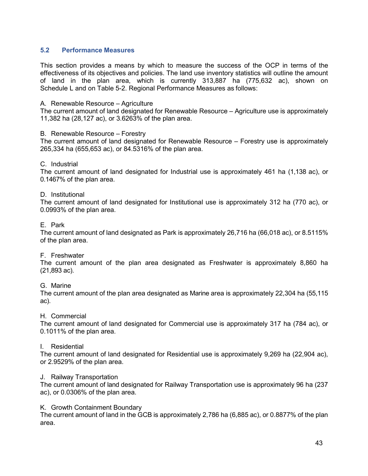#### <span id="page-50-0"></span>**5.2 Performance Measures**

This section provides a means by which to measure the success of the OCP in terms of the effectiveness of its objectives and policies. The land use inventory statistics will outline the amount of land in the plan area, which is currently 313,887 ha (775,632 ac), shown on Schedule L and on Table 5-2. Regional Performance Measures as follows:

#### A. Renewable Resource – Agriculture

The current amount of land designated for Renewable Resource – Agriculture use is approximately 11,382 ha (28,127 ac), or 3.6263% of the plan area.

#### B. Renewable Resource – Forestry

The current amount of land designated for Renewable Resource – Forestry use is approximately 265,334 ha (655,653 ac), or 84.5316% of the plan area.

#### C. Industrial

The current amount of land designated for Industrial use is approximately 461 ha (1,138 ac), or 0.1467% of the plan area.

#### D. Institutional

The current amount of land designated for Institutional use is approximately 312 ha (770 ac), or 0.0993% of the plan area.

#### E. Park

The current amount of land designated as Park is approximately 26,716 ha (66,018 ac), or 8.5115% of the plan area.

#### F. Freshwater

The current amount of the plan area designated as Freshwater is approximately 8,860 ha (21,893 ac).

#### G. Marine

The current amount of the plan area designated as Marine area is approximately 22,304 ha (55,115 ac).

#### H. Commercial

The current amount of land designated for Commercial use is approximately 317 ha (784 ac), or 0.1011% of the plan area.

#### I. Residential

The current amount of land designated for Residential use is approximately 9,269 ha (22,904 ac), or 2.9529% of the plan area.

#### J. Railway Transportation

The current amount of land designated for Railway Transportation use is approximately 96 ha (237 ac), or 0.0306% of the plan area.

#### K. Growth Containment Boundary

The current amount of land in the GCB is approximately 2,786 ha (6,885 ac), or 0.8877% of the plan area.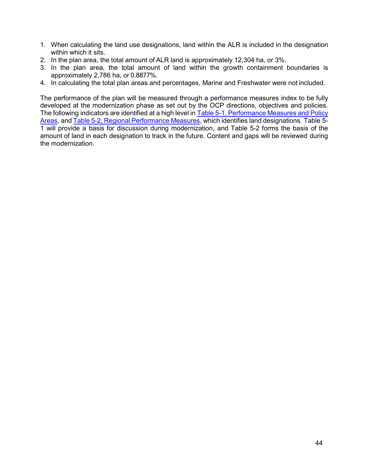- 1. When calculating the land use designations, land within the ALR is included in the designation within which it sits.
- 2. In the plan area, the total amount of ALR land is approximately 12,304 ha, or 3%.
- 3. In the plan area, the total amount of land within the growth containment boundaries is approximately 2,786 ha, or 0.8877%.
- 4. In calculating the total plan areas and percentages, Marine and Freshwater were not included.

The performance of the plan will be measured through a performance measures index to be fully developed at the modernization phase as set out by the OCP directions, objectives and policies. The following indicators are identified at a high level in [Table 5-1, Performance Measures and Policy](#page-52-0) [Areas,](#page-52-0) and Table 5-2, Regional [Performance](#page-55-0) Measures, which identifies land designations. Table 5- 1 will provide a basis for discussion during modernization, and Table 5-2 forms the basis of the amount of land in each designation to track in the future. Content and gaps will be reviewed during the modernization.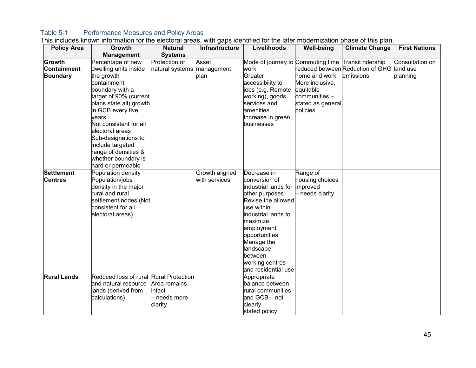### Table 5-1 Performance Measures and Policy Areas

<span id="page-52-0"></span>

| <b>Policy Area</b> | Growth                  | <b>Natural</b>             | Infrastructure | Livelihoods                                         | <b>Well-being</b> | <b>Climate Change</b>                     | <b>First Nations</b> |
|--------------------|-------------------------|----------------------------|----------------|-----------------------------------------------------|-------------------|-------------------------------------------|----------------------|
|                    | <b>Management</b>       | <b>Systems</b>             |                |                                                     |                   |                                           |                      |
| Growth             | Percentage of new       | Protection of              | Asset          | Mode of journey to Commuting time Transit ridership |                   |                                           | Consultation on      |
| <b>Containment</b> | dwelling units inside   | natural systems management |                | work                                                |                   | reduced between Reduction of GHG land use |                      |
| <b>Boundary</b>    | the growth              |                            | plan           | Greater                                             | home and work     | emissions                                 | planning             |
|                    | containment             |                            |                | accessibility to                                    | More inclusive,   |                                           |                      |
|                    | boundary with a         |                            |                | jobs (e.g. Remote                                   | equitable         |                                           |                      |
|                    | target of 90% (current  |                            |                | working), goods,                                    | communities -     |                                           |                      |
|                    | plans state all) growth |                            |                | services and                                        | stated as general |                                           |                      |
|                    | in GCB every five       |                            |                | amenities                                           | policies          |                                           |                      |
|                    | years                   |                            |                | Increase in green                                   |                   |                                           |                      |
|                    | Not consistent for all  |                            |                | businesses                                          |                   |                                           |                      |
|                    | electoral areas         |                            |                |                                                     |                   |                                           |                      |
|                    | Sub-designations to     |                            |                |                                                     |                   |                                           |                      |
|                    | include targeted        |                            |                |                                                     |                   |                                           |                      |
|                    | range of densities &    |                            |                |                                                     |                   |                                           |                      |
|                    | whether boundary is     |                            |                |                                                     |                   |                                           |                      |
|                    | hard or permeable       |                            |                |                                                     |                   |                                           |                      |
| <b>Settlement</b>  | Population density      |                            | Growth aligned | Decrease in                                         | Range of          |                                           |                      |
| <b>Centres</b>     | Population/jobs         |                            | with services  | conversion of                                       | housing choices   |                                           |                      |
|                    | density in the major    |                            |                | industrial lands for                                | improved          |                                           |                      |
|                    | rural and rural         |                            |                | other purposes                                      | - needs clarity   |                                           |                      |
|                    | settlement nodes (Not   |                            |                | Revise the allowed                                  |                   |                                           |                      |
|                    | consistent for all      |                            |                | use within                                          |                   |                                           |                      |
|                    | electoral areas)        |                            |                | industrial lands to                                 |                   |                                           |                      |
|                    |                         |                            |                | maximize                                            |                   |                                           |                      |
|                    |                         |                            |                | employment                                          |                   |                                           |                      |
|                    |                         |                            |                | opportunities                                       |                   |                                           |                      |
|                    |                         |                            |                | Manage the                                          |                   |                                           |                      |
|                    |                         |                            |                | landscape                                           |                   |                                           |                      |
|                    |                         |                            |                | between                                             |                   |                                           |                      |
|                    |                         |                            |                | working centres                                     |                   |                                           |                      |
|                    |                         |                            |                | and residential use                                 |                   |                                           |                      |
| <b>Rural Lands</b> | Reduced loss of rural   | <b>Rural Protection</b>    |                | Appropriate                                         |                   |                                           |                      |
|                    | and natural resource    | Area remains               |                | balance between                                     |                   |                                           |                      |
|                    | lands (derived from     | intact                     |                | rural communities                                   |                   |                                           |                      |
|                    | calculations)           | - needs more               |                | and GCB - not                                       |                   |                                           |                      |
|                    |                         | clarity                    |                | clearly                                             |                   |                                           |                      |
|                    |                         |                            |                | stated policy                                       |                   |                                           |                      |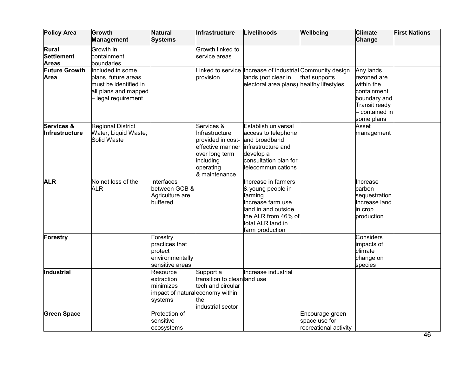| <b>Policy Area</b>                                | Growth<br><b>Management</b>                                                                                   | <b>Natural</b><br><b>Systems</b>                                                  | Infrastructure                                                                                                                     | Livelihoods                                                                                                                                                    | Wellbeing                                                 | <b>Climate</b><br>Change                                                                                             | <b>First Nations</b> |
|---------------------------------------------------|---------------------------------------------------------------------------------------------------------------|-----------------------------------------------------------------------------------|------------------------------------------------------------------------------------------------------------------------------------|----------------------------------------------------------------------------------------------------------------------------------------------------------------|-----------------------------------------------------------|----------------------------------------------------------------------------------------------------------------------|----------------------|
| <b>Rural</b><br><b>Settlement</b><br><b>Areas</b> | Growth in<br>containment<br>boundaries                                                                        |                                                                                   | Growth linked to<br>service areas                                                                                                  |                                                                                                                                                                |                                                           |                                                                                                                      |                      |
| <b>Future Growth</b><br>Area                      | Included in some<br>plans, future areas<br>must be identified in<br>all plans and mapped<br>legal requirement |                                                                                   | provision                                                                                                                          | Linked to service  Increase of industrial Community design<br>lands (not clear in<br>electoral area plans) healthy lifestyles                                  | that supports                                             | Any lands<br>rezoned are<br>within the<br>containment<br>boundary and<br>Transit ready<br>contained in<br>some plans |                      |
| Services &<br>Infrastructure                      | Regional District<br>Water; Liquid Waste;<br>Solid Waste                                                      |                                                                                   | Services &<br>Infrastructure<br>provided in cost-<br>effective manner<br>over long term<br>including<br>operating<br>& maintenance | Establish universal<br>access to telephone<br>and broadband<br>infrastructure and<br>develop a<br>consultation plan for<br>telecommunications                  |                                                           | Asset<br>management                                                                                                  |                      |
| <b>ALR</b>                                        | No net loss of the<br><b>ALR</b>                                                                              | Interfaces<br>between GCB &<br>Agriculture are<br>buffered                        |                                                                                                                                    | Increase in farmers<br>& young people in<br>farming<br>Increase farm use<br>land in and outside<br>the ALR from 46% of<br>total ALR land in<br>farm production |                                                           | Increase<br>carbon<br>sequestration<br>Increase land<br>in crop<br>production                                        |                      |
| <b>Forestry</b>                                   |                                                                                                               | Forestry<br>practices that<br>protect<br>environmentally<br>sensitive areas       |                                                                                                                                    |                                                                                                                                                                |                                                           | <b>Considers</b><br>impacts of<br>climate<br>change on<br>species                                                    |                      |
| Industrial                                        |                                                                                                               | Resource<br>extraction<br>minimizes<br>impact of naturaleconomy within<br>systems | Support a<br>transition to clean and use<br>tech and circular<br>the<br>industrial sector                                          | Increase industrial                                                                                                                                            |                                                           |                                                                                                                      |                      |
| <b>Green Space</b>                                |                                                                                                               | Protection of<br>sensitive<br>ecosystems                                          |                                                                                                                                    |                                                                                                                                                                | Encourage green<br>space use for<br>recreational activity |                                                                                                                      |                      |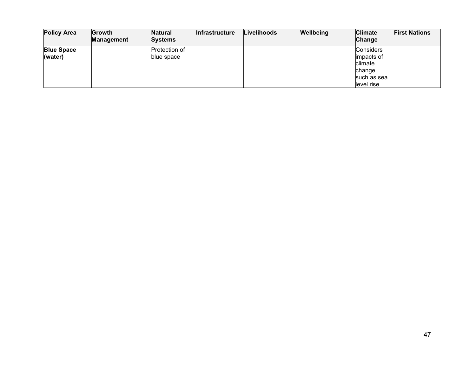| <b>Policy Area</b> | Growth            | <b>Natural</b> | <b>Infrastructure</b> | Livelihoods | Wellbeing | <b>Climate</b>   | <b>First Nations</b> |
|--------------------|-------------------|----------------|-----------------------|-------------|-----------|------------------|----------------------|
|                    | <b>Management</b> | <b>Systems</b> |                       |             |           | Change           |                      |
| <b>Blue Space</b>  |                   | Protection of  |                       |             |           | <b>Considers</b> |                      |
| (water)            |                   | blue space     |                       |             |           | impacts of       |                      |
|                    |                   |                |                       |             |           | climate          |                      |
|                    |                   |                |                       |             |           | change           |                      |
|                    |                   |                |                       |             |           | such as sea      |                      |
|                    |                   |                |                       |             |           | level rise       |                      |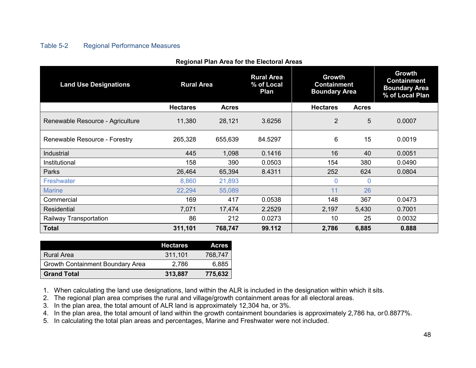### Table 5-2 Regional Performance Measures

<span id="page-55-0"></span>

| <b>Land Use Designations</b>     | <b>Rural Area</b> |              | <b>Rural Area</b><br>% of Local<br>Plan | Growth<br><b>Containment</b><br><b>Boundary Area</b> |              | <b>Growth</b><br><b>Containment</b><br><b>Boundary Area</b><br>% of Local Plan |
|----------------------------------|-------------------|--------------|-----------------------------------------|------------------------------------------------------|--------------|--------------------------------------------------------------------------------|
|                                  | <b>Hectares</b>   | <b>Acres</b> |                                         | <b>Hectares</b>                                      | <b>Acres</b> |                                                                                |
| Renewable Resource - Agriculture | 11,380            | 28,121       | 3.6256                                  | $\overline{2}$                                       | 5            | 0.0007                                                                         |
| Renewable Resource - Forestry    | 265,328           | 655,639      | 84.5297                                 | 6                                                    | 15           | 0.0019                                                                         |
| Industrial                       | 445               | 1,098        | 0.1416                                  | 16                                                   | 40           | 0.0051                                                                         |
| Institutional                    | 158               | 390          | 0.0503                                  | 154                                                  | 380          | 0.0490                                                                         |
| Parks                            | 26,464            | 65,394       | 8.4311                                  | 252                                                  | 624          | 0.0804                                                                         |
| Freshwater                       | 8,860             | 21,893       |                                         | $\Omega$                                             | $\Omega$     |                                                                                |
| <b>Marine</b>                    | 22,294            | 55,089       |                                         | 11                                                   | 26           |                                                                                |
| Commercial                       | 169               | 417          | 0.0538                                  | 148                                                  | 367          | 0.0473                                                                         |
| <b>Residential</b>               | 7,071             | 17,474       | 2.2529                                  | 2,197                                                | 5,430        | 0.7001                                                                         |
| Railway Transportation           | 86                | 212          | 0.0273                                  | 10                                                   | 25           | 0.0032                                                                         |
| <b>Total</b>                     | 311,101           | 768,747      | 99.112                                  | 2,786                                                | 6,885        | 0.888                                                                          |

#### **Regional Plan Area for the Electoral Areas**

|                                         | <b>Hectares</b> | <b>Acres</b> |
|-----------------------------------------|-----------------|--------------|
| Rural Area                              | 311,101         | 768.747      |
| <b>Growth Containment Boundary Area</b> | 2,786           | 6,885        |
| <b>Grand Total</b>                      | 313,887         | 775,632      |

1. When calculating the land use designations, land within the ALR is included in the designation within which it sits.

2. The regional plan area comprises the rural and village/growth containment areas for all electoral areas.

3. In the plan area, the total amount of ALR land is approximately 12,304 ha, or 3%.

4. In the plan area, the total amount of land within the growth containment boundaries is approximately 2,786 ha, or0.8877%.

5. In calculating the total plan areas and percentages, Marine and Freshwater were not included.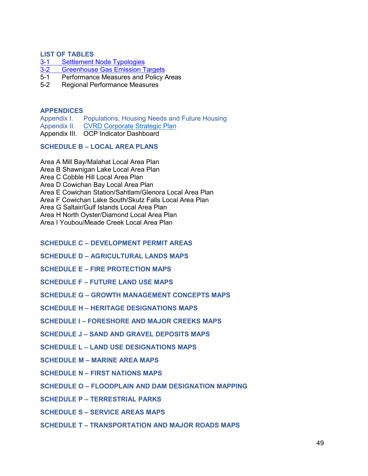#### <span id="page-56-0"></span>**LIST OF TABLES**

- 3-1 [Settlement Node](#page-13-0) Typologies<br>3-2 Greenhouse Gas Emission T
- 3-2 [Greenhouse Gas Emission](#page-31-1) Targets<br>5-1 Performance Measures and Policy
- [Performance Measures and Policy Areas](#page-52-0)
- 5-2 [Regional Performance](#page-55-0) Measures

#### <span id="page-56-1"></span>**APPENDICES**

Appendix I. Populations, Housing Needs and Future Housing

- Appendix II. [CVRD Corporate Strategic](https://cvrd.ca/DocumentCenter/View/98958/CVRD-Corporate-Strategic-Plan-2020-2022) Plan
- Appendix III. OCP Indicator Dashboard

#### <span id="page-56-2"></span>**SCHEDULE B – LOCAL AREA PLANS**

Area A Mill Bay/Malahat Local Area Plan

Area B Shawnigan Lake Local Area Plan

Area C Cobble Hill Local Area Plan

Area D Cowichan Bay Local Area Plan

Area E Cowichan Station/Sahtlam/Glenora Local Area Plan

Area F Cowichan Lake South/Skutz Falls Local Area Plan

Area G Saltair/Gulf Islands Local Area Plan

Area H North Oyster/Diamond Local Area Plan

Area I Youbou/Meade Creek Local Area Plan

#### <span id="page-56-3"></span>**SCHEDULE C – DEVELOPMENT PERMIT AREAS**

<span id="page-56-4"></span>**SCHEDULE D – AGRICULTURAL LANDS MAPS** 

<span id="page-56-5"></span>**SCHEDULE E – FIRE PROTECTION MAPS** 

<span id="page-56-6"></span>**SCHEDULE F – FUTURE LAND USE MAPS**

<span id="page-56-7"></span>**SCHEDULE G – GROWTH MANAGEMENT CONCEPTS MAPS** 

<span id="page-56-8"></span>**SCHEDULE H – HERITAGE DESIGNATIONS MAPS** 

<span id="page-56-9"></span>**SCHEDULE I – FORESHORE AND MAJOR CREEKS MAPS** 

<span id="page-56-10"></span>**SCHEDULE J – SAND AND GRAVEL DEPOSITS MAPS** 

<span id="page-56-11"></span>**SCHEDULE L – LAND USE DESIGNATIONS MAPS** 

<span id="page-56-12"></span>**SCHEDULE M – MARINE AREA MAPS**

<span id="page-56-13"></span>**SCHEDULE N – FIRST NATIONS MAPS** 

<span id="page-56-14"></span>**SCHEDULE O – FLOODPLAIN AND DAM DESIGNATION MAPPING**

<span id="page-56-15"></span>**SCHEDULE P – TERRESTRIAL PARKS** 

<span id="page-56-16"></span>**SCHEDULE S – SERVICE AREAS MAPS**

<span id="page-56-17"></span>**SCHEDULE T – TRANSPORTATION AND MAJOR ROADS MAPS**